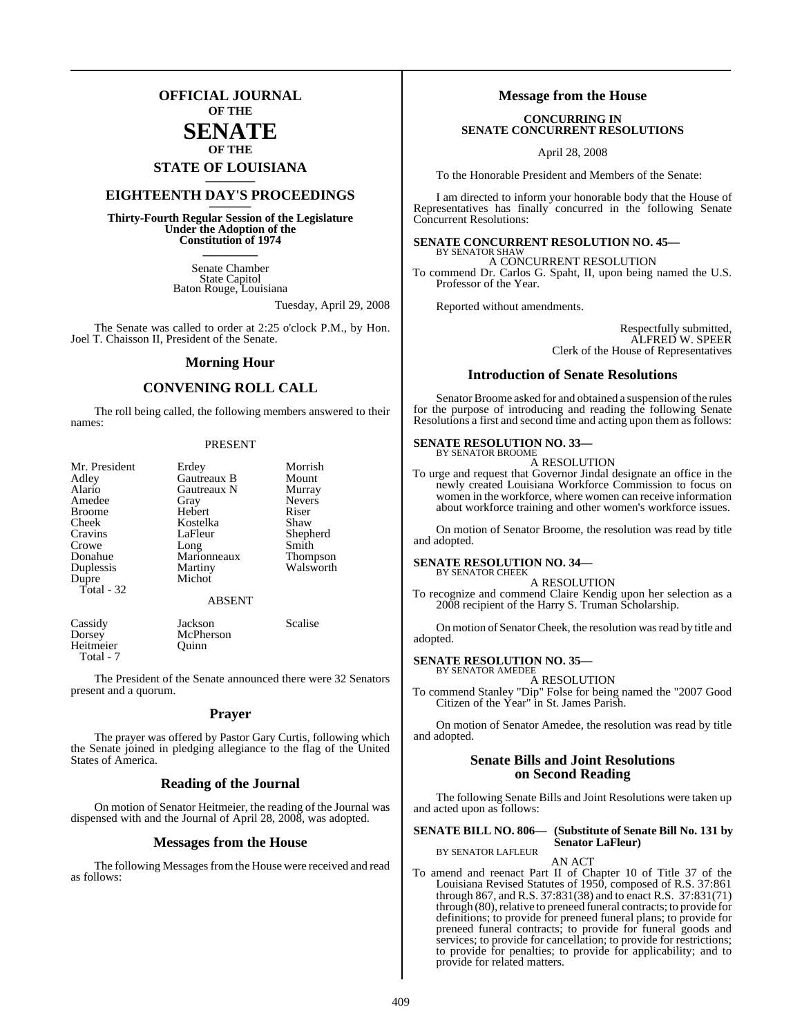### **OFFICIAL JOURNAL OF THE**

### **SENATE OF THE**

# **STATE OF LOUISIANA \_\_\_\_\_\_\_**

### **EIGHTEENTH DAY'S PROCEEDINGS \_\_\_\_\_\_\_**

**Thirty-Fourth Regular Session of the Legislature Under the Adoption of the Constitution of 1974 \_\_\_\_\_\_\_**

> Senate Chamber State Capitol Baton Rouge, Louisiana

> > Tuesday, April 29, 2008

The Senate was called to order at 2:25 o'clock P.M., by Hon. Joel T. Chaisson II, President of the Senate.

### **Morning Hour**

### **CONVENING ROLL CALL**

The roll being called, the following members answered to their names:

#### PRESENT

| Mr. President | Erdey         | Morrish         |
|---------------|---------------|-----------------|
| Adley         | Gautreaux B   | Mount           |
| Alario        | Gautreaux N   | Murray          |
| Amedee        | Gray          | <b>Nevers</b>   |
| <b>Broome</b> | Hebert        | Riser           |
| Cheek         | Kostelka      | Shaw            |
| Cravins       | LaFleur       | Shepherd        |
| Crowe         | Long          | Smith           |
| Donahue       | Marionneaux   | <b>Thompson</b> |
| Duplessis     | Martiny       | Walsworth       |
| Dupre         | Michot        |                 |
| Total - 32    |               |                 |
|               | <b>ABSENT</b> |                 |
|               |               |                 |

McPherson<br>Ouinn

Cassidy Jackson Scalise<br>Dorsey McPherson Scalise Heitmeier Total - 7

The President of the Senate announced there were 32 Senators present and a quorum.

### **Prayer**

The prayer was offered by Pastor Gary Curtis, following which the Senate joined in pledging allegiance to the flag of the United States of America.

### **Reading of the Journal**

On motion of Senator Heitmeier, the reading of the Journal was dispensed with and the Journal of April 28, 2008, was adopted.

### **Messages from the House**

The following Messages from the House were received and read as follows:

### **Message from the House**

### **CONCURRING IN SENATE CONCURRENT RESOLUTIONS**

April 28, 2008

To the Honorable President and Members of the Senate:

I am directed to inform your honorable body that the House of Representatives has finally concurred in the following Senate Concurrent Resolutions:

#### **SENATE CONCURRENT RESOLUTION NO. 45—** BY SENATOR SHAW

A CONCURRENT RESOLUTION To commend Dr. Carlos G. Spaht, II, upon being named the U.S. Professor of the Year.

Reported without amendments.

Respectfully submitted, ALFRED W. SPEER Clerk of the House of Representatives

### **Introduction of Senate Resolutions**

Senator Broome asked for and obtained a suspension of the rules for the purpose of introducing and reading the following Senate Resolutions a first and second time and acting upon them as follows:

#### **SENATE RESOLUTION NO. 33—** BY SENATOR BROOME

A RESOLUTION

To urge and request that Governor Jindal designate an office in the newly created Louisiana Workforce Commission to focus on women in the workforce, where women can receive information about workforce training and other women's workforce issues.

On motion of Senator Broome, the resolution was read by title and adopted.

### **SENATE RESOLUTION NO. 34—**

BY SENATOR CHEEK A RESOLUTION

To recognize and commend Claire Kendig upon her selection as a 2008 recipient of the Harry S. Truman Scholarship.

On motion of Senator Cheek, the resolution was read by title and adopted.

### **SENATE RESOLUTION NO. 35—** BY SENATOR AMEDEE

A RESOLUTION

To commend Stanley "Dip" Folse for being named the "2007 Good Citizen of the Year" in St. James Parish.

On motion of Senator Amedee, the resolution was read by title and adopted.

### **Senate Bills and Joint Resolutions on Second Reading**

The following Senate Bills and Joint Resolutions were taken up and acted upon as follows:

### **SENATE BILL NO. 806— (Substitute of Senate Bill No. 131 by Senator LaFleur)**

BY SENATOR LAFLEUR

AN ACT To amend and reenact Part II of Chapter 10 of Title 37 of the Louisiana Revised Statutes of 1950, composed of R.S. 37:861 through 867, and R.S. 37:831(38) and to enact R.S. 37:831(71) through (80), relative to preneed funeral contracts; to provide for definitions; to provide for preneed funeral plans; to provide for preneed funeral contracts; to provide for funeral goods and services; to provide for cancellation; to provide for restrictions; to provide for penalties; to provide for applicability; and to provide for related matters.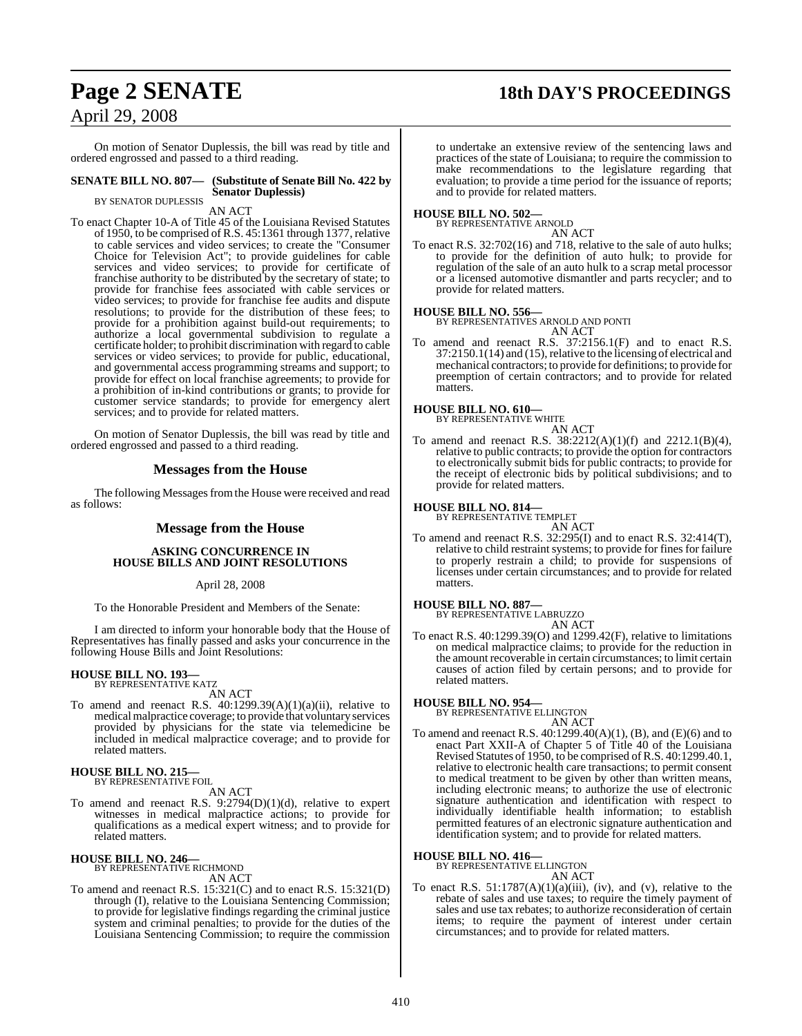## **Page 2 SENATE 18th DAY'S PROCEEDINGS**

On motion of Senator Duplessis, the bill was read by title and ordered engrossed and passed to a third reading.

#### **SENATE BILL NO. 807— (Substitute of Senate Bill No. 422 by Senator Duplessis)**

BY SENATOR DUPLESSIS

AN ACT

To enact Chapter 10-A of Title 45 of the Louisiana Revised Statutes of 1950, to be comprised of R.S. 45:1361 through 1377, relative to cable services and video services; to create the "Consumer Choice for Television Act"; to provide guidelines for cable services and video services; to provide for certificate of franchise authority to be distributed by the secretary of state; to provide for franchise fees associated with cable services or video services; to provide for franchise fee audits and dispute resolutions; to provide for the distribution of these fees; to provide for a prohibition against build-out requirements; to authorize a local governmental subdivision to regulate a certificate holder; to prohibit discrimination with regard to cable services or video services; to provide for public, educational, and governmental access programming streams and support; to provide for effect on local franchise agreements; to provide for a prohibition of in-kind contributions or grants; to provide for customer service standards; to provide for emergency alert services; and to provide for related matters.

On motion of Senator Duplessis, the bill was read by title and ordered engrossed and passed to a third reading.

### **Messages from the House**

The following Messages from the House were received and read as follows:

### **Message from the House**

### **ASKING CONCURRENCE IN HOUSE BILLS AND JOINT RESOLUTIONS**

### April 28, 2008

To the Honorable President and Members of the Senate:

I am directed to inform your honorable body that the House of Representatives has finally passed and asks your concurrence in the following House Bills and Joint Resolutions:

### **HOUSE BILL NO. 193—** BY REPRESENTATIVE KATZ

AN ACT

To amend and reenact R.S. 40:1299.39(A)(1)(a)(ii), relative to medicalmalpractice coverage; to provide that voluntary services provided by physicians for the state via telemedicine be included in medical malpractice coverage; and to provide for related matters.

### **HOUSE BILL NO. 215—** BY REPRESENTATIVE FOIL

AN ACT

To amend and reenact R.S. 9:2794(D)(1)(d), relative to expert witnesses in medical malpractice actions; to provide for qualifications as a medical expert witness; and to provide for related matters.

### **HOUSE BILL NO. 246—**

BY REPRESENTATIVE RICHMOND AN ACT

To amend and reenact R.S. 15:321(C) and to enact R.S. 15:321(D) through (I), relative to the Louisiana Sentencing Commission; to provide for legislative findings regarding the criminal justice system and criminal penalties; to provide for the duties of the Louisiana Sentencing Commission; to require the commission

to undertake an extensive review of the sentencing laws and practices of the state of Louisiana; to require the commission to make recommendations to the legislature regarding that evaluation; to provide a time period for the issuance of reports; and to provide for related matters.

### **HOUSE BILL NO. 502—** BY REPRESENTATIVE ARNOLD

AN ACT

To enact R.S. 32:702(16) and 718, relative to the sale of auto hulks; to provide for the definition of auto hulk; to provide for regulation of the sale of an auto hulk to a scrap metal processor or a licensed automotive dismantler and parts recycler; and to provide for related matters.

### **HOUSE BILL NO. 556—**

BY REPRESENTATIVES ARNOLD AND PONTI AN ACT

To amend and reenact R.S. 37:2156.1(F) and to enact R.S.  $37:2150.1(14)$  and  $(15)$ , relative to the licensing of electrical and mechanical contractors; to provide for definitions; to provide for preemption of certain contractors; and to provide for related matters.

## **HOUSE BILL NO. 610—** BY REPRESENTATIVE WHITE

- AN ACT
- To amend and reenact R.S.  $38:2212(A)(1)(f)$  and  $2212.1(B)(4)$ , relative to public contracts; to provide the option for contractors to electronically submit bids for public contracts; to provide for the receipt of electronic bids by political subdivisions; and to provide for related matters.

### **HOUSE BILL NO. 814—** BY REPRESENTATIVE TEMPLET

AN ACT To amend and reenact R.S. 32:295(I) and to enact R.S. 32:414(T), relative to child restraint systems; to provide for fines for failure to properly restrain a child; to provide for suspensions of licenses under certain circumstances; and to provide for related matters.

### **HOUSE BILL NO. 887—**

BY REPRESENTATIVE LABRUZZO

- AN ACT
- To enact R.S. 40:1299.39(O) and 1299.42(F), relative to limitations on medical malpractice claims; to provide for the reduction in the amount recoverable in certain circumstances; to limit certain causes of action filed by certain persons; and to provide for related matters.

### **HOUSE BILL NO. 954—** BY REPRESENTATIVE ELLINGTON

AN ACT

To amend and reenact R.S. 40:1299.40(A)(1), (B), and (E)(6) and to enact Part XXII-A of Chapter 5 of Title 40 of the Louisiana Revised Statutes of 1950, to be comprised ofR.S. 40:1299.40.1, relative to electronic health care transactions; to permit consent to medical treatment to be given by other than written means, including electronic means; to authorize the use of electronic signature authentication and identification with respect to individually identifiable health information; to establish permitted features of an electronic signature authentication and identification system; and to provide for related matters.

### **HOUSE BILL NO. 416—**

BY REPRESENTATIVE ELLINGTON

AN ACT To enact R.S.  $51:1787(A)(1)(a)(iii)$ , (iv), and (v), relative to the rebate of sales and use taxes; to require the timely payment of sales and use tax rebates; to authorize reconsideration of certain items; to require the payment of interest under certain circumstances; and to provide for related matters.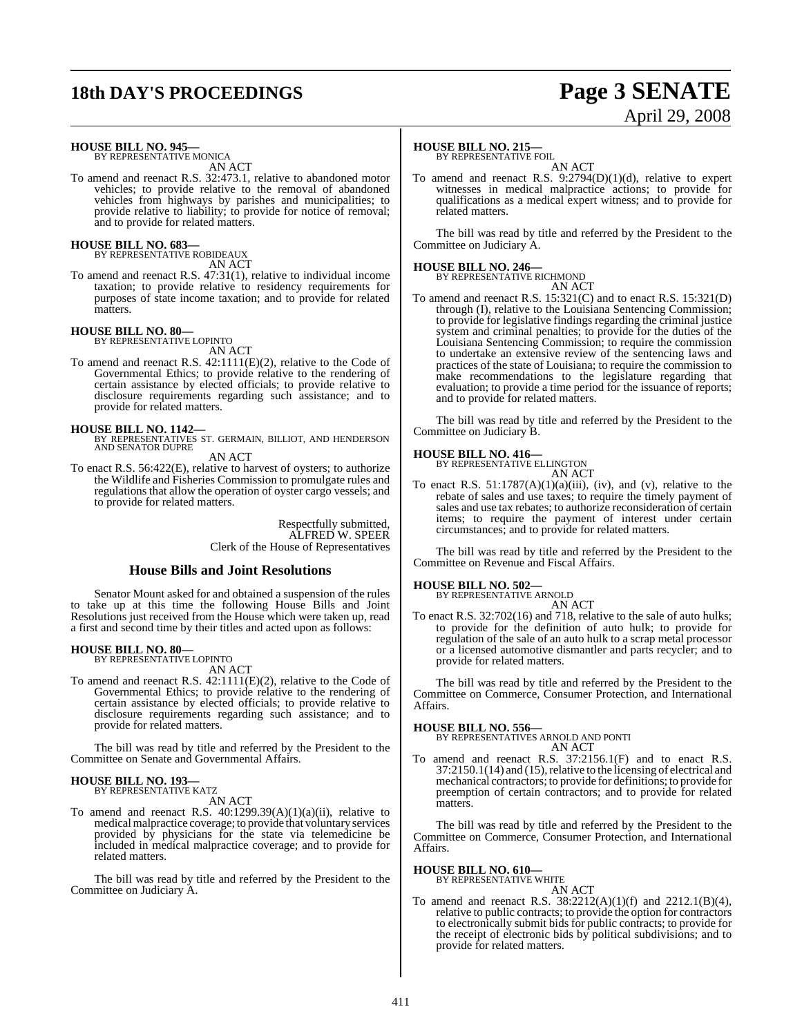## **18th DAY'S PROCEEDINGS Page 3 SENATE**

# April 29, 2008

**HOUSE BILL NO. 945—** BY REPRESENTATIVE MONICA

AN ACT

To amend and reenact R.S. 32:473.1, relative to abandoned motor vehicles; to provide relative to the removal of abandoned vehicles from highways by parishes and municipalities; to provide relative to liability; to provide for notice of removal; and to provide for related matters.

### **HOUSE BILL NO. 683—**

BY REPRESENTATIVE ROBIDEAUX AN ACT

To amend and reenact R.S. 47:31(1), relative to individual income taxation; to provide relative to residency requirements for purposes of state income taxation; and to provide for related matters.

### **HOUSE BILL NO. 80—**

BY REPRESENTATIVE LOPINTO

- AN ACT
- To amend and reenact R.S. 42:1111(E)(2), relative to the Code of Governmental Ethics; to provide relative to the rendering of certain assistance by elected officials; to provide relative to disclosure requirements regarding such assistance; and to provide for related matters.

**HOUSE BILL NO. 1142—** BY REPRESENTATIVES ST. GERMAIN, BILLIOT, AND HENDERSON AND SENATOR DUPRE

AN ACT

To enact R.S. 56:422(E), relative to harvest of oysters; to authorize the Wildlife and Fisheries Commission to promulgate rules and regulations that allow the operation of oyster cargo vessels; and to provide for related matters.

> Respectfully submitted, ALFRED W. SPEER Clerk of the House of Representatives

### **House Bills and Joint Resolutions**

Senator Mount asked for and obtained a suspension of the rules to take up at this time the following House Bills and Joint Resolutions just received from the House which were taken up, read a first and second time by their titles and acted upon as follows:

### **HOUSE BILL NO. 80—** BY REPRESENTATIVE LOPINTO

AN ACT

To amend and reenact R.S. 42:1111(E)(2), relative to the Code of Governmental Ethics; to provide relative to the rendering of certain assistance by elected officials; to provide relative to disclosure requirements regarding such assistance; and to provide for related matters.

The bill was read by title and referred by the President to the Committee on Senate and Governmental Affairs.

#### **HOUSE BILL NO. 193—** BY REPRESENTATIVE KATZ

AN ACT

To amend and reenact R.S.  $40:1299.39(A)(1)(a)(ii)$ , relative to medicalmalpractice coverage; to provide that voluntary services provided by physicians for the state via telemedicine be included in medical malpractice coverage; and to provide for related matters.

The bill was read by title and referred by the President to the Committee on Judiciary A.

### **HOUSE BILL NO. 215—**

BY REPRESENTATIVE FOIL

AN ACT To amend and reenact R.S. 9:2794(D)(1)(d), relative to expert witnesses in medical malpractice actions; to provide for qualifications as a medical expert witness; and to provide for related matters.

The bill was read by title and referred by the President to the Committee on Judiciary A.

### **HOUSE BILL NO. 246—** BY REPRESENTATIVE RICHMOND

AN ACT To amend and reenact R.S. 15:321(C) and to enact R.S. 15:321(D) through (I), relative to the Louisiana Sentencing Commission; to provide for legislative findings regarding the criminal justice system and criminal penalties; to provide for the duties of the Louisiana Sentencing Commission; to require the commission to undertake an extensive review of the sentencing laws and practices of the state of Louisiana; to require the commission to make recommendations to the legislature regarding that evaluation; to provide a time period for the issuance of reports; and to provide for related matters.

The bill was read by title and referred by the President to the Committee on Judiciary B.

### **HOUSE BILL NO. 416—**

BY REPRESENTATIVE ELLINGTON AN ACT

To enact R.S.  $51:1787(A)(1)(a)(iii)$ , (iv), and (v), relative to the rebate of sales and use taxes; to require the timely payment of sales and use tax rebates; to authorize reconsideration of certain items; to require the payment of interest under certain circumstances; and to provide for related matters.

The bill was read by title and referred by the President to the Committee on Revenue and Fiscal Affairs.

### **HOUSE BILL NO. 502—** BY REPRESENTATIVE ARNOLD

AN ACT

To enact R.S. 32:702(16) and 718, relative to the sale of auto hulks; to provide for the definition of auto hulk; to provide for regulation of the sale of an auto hulk to a scrap metal processor or a licensed automotive dismantler and parts recycler; and to provide for related matters.

The bill was read by title and referred by the President to the Committee on Commerce, Consumer Protection, and International Affairs.

**HOUSE BILL NO. 556—** BY REPRESENTATIVES ARNOLD AND PONTI

- AN ACT
- To amend and reenact R.S. 37:2156.1(F) and to enact R.S.  $37:2150.1(14)$  and  $(15)$ , relative to the licensing of electrical and mechanical contractors; to provide for definitions; to provide for preemption of certain contractors; and to provide for related matters.

The bill was read by title and referred by the President to the Committee on Commerce, Consumer Protection, and International Affairs.

**HOUSE BILL NO. 610—**

### BY REPRESENTATIVE WHITE

AN ACT

To amend and reenact R.S. 38:2212(A)(1)(f) and 2212.1(B)(4), relative to public contracts; to provide the option for contractors to electronically submit bids for public contracts; to provide for the receipt of electronic bids by political subdivisions; and to provide for related matters.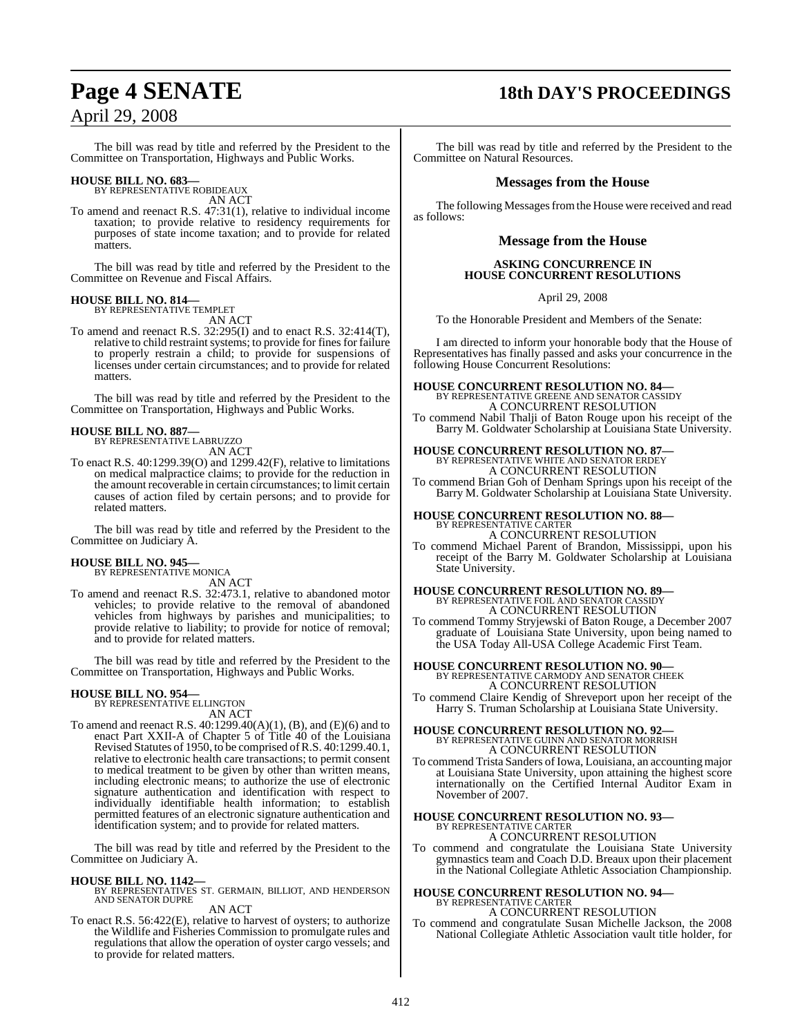## **Page 4 SENATE 18th DAY'S PROCEEDINGS** April 29, 2008

The bill was read by title and referred by the President to the Committee on Transportation, Highways and Public Works.

### **HOUSE BILL NO. 683—** BY REPRESENTATIVE ROBIDEAUX

AN ACT

To amend and reenact R.S. 47:31(1), relative to individual income taxation; to provide relative to residency requirements for purposes of state income taxation; and to provide for related matters.

The bill was read by title and referred by the President to the Committee on Revenue and Fiscal Affairs.

### **HOUSE BILL NO. 814—** BY REPRESENTATIVE TEMPLET

AN ACT

To amend and reenact R.S. 32:295(I) and to enact R.S. 32:414(T), relative to child restraint systems; to provide for fines for failure to properly restrain a child; to provide for suspensions of licenses under certain circumstances; and to provide for related matters.

The bill was read by title and referred by the President to the Committee on Transportation, Highways and Public Works.

#### **HOUSE BILL NO. 887—** BY REPRESENTATIVE LABRUZZO

AN ACT

To enact R.S. 40:1299.39(O) and 1299.42(F), relative to limitations on medical malpractice claims; to provide for the reduction in the amount recoverable in certain circumstances; to limit certain causes of action filed by certain persons; and to provide for related matters.

The bill was read by title and referred by the President to the Committee on Judiciary A.

### **HOUSE BILL NO. 945—**

BY REPRESENTATIVE MONICA AN ACT

To amend and reenact R.S. 32:473.1, relative to abandoned motor vehicles; to provide relative to the removal of abandoned vehicles from highways by parishes and municipalities; to provide relative to liability; to provide for notice of removal; and to provide for related matters.

The bill was read by title and referred by the President to the Committee on Transportation, Highways and Public Works.

### **HOUSE BILL NO. 954—**

BY REPRESENTATIVE ELLINGTON

AN ACT To amend and reenact R.S. 40:1299.40(A)(1), (B), and (E)(6) and to enact Part XXII-A of Chapter 5 of Title 40 of the Louisiana Revised Statutes of 1950, to be comprised ofR.S. 40:1299.40.1, relative to electronic health care transactions; to permit consent to medical treatment to be given by other than written means, including electronic means; to authorize the use of electronic signature authentication and identification with respect to individually identifiable health information; to establish permitted features of an electronic signature authentication and identification system; and to provide for related matters.

The bill was read by title and referred by the President to the Committee on Judiciary A.

### **HOUSE BILL NO. 1142—**

BY REPRESENTATIVES ST. GERMAIN, BILLIOT, AND HENDERSON AND SENATOR DUPRE

AN ACT

To enact R.S. 56:422(E), relative to harvest of oysters; to authorize the Wildlife and Fisheries Commission to promulgate rules and regulations that allow the operation of oyster cargo vessels; and to provide for related matters.

The bill was read by title and referred by the President to the Committee on Natural Resources.

### **Messages from the House**

The following Messages from the House were received and read as follows:

### **Message from the House**

### **ASKING CONCURRENCE IN HOUSE CONCURRENT RESOLUTIONS**

April 29, 2008

To the Honorable President and Members of the Senate:

I am directed to inform your honorable body that the House of Representatives has finally passed and asks your concurrence in the following House Concurrent Resolutions:

**HOUSE CONCURRENT RESOLUTION NO. 84—** BY REPRESENTATIVE GREENE AND SENATOR CASSIDY A CONCURRENT RESOLUTION

To commend Nabil Thalji of Baton Rouge upon his receipt of the Barry M. Goldwater Scholarship at Louisiana State University.

### **HOUSE CONCURRENT RESOLUTION NO. 87—** BY REPRESENTATIVE WHITE AND SENATOR ERDEY A CONCURRENT RESOLUTION

To commend Brian Goh of Denham Springs upon his receipt of the Barry M. Goldwater Scholarship at Louisiana State University.

### **HOUSE CONCURRENT RESOLUTION NO. 88—** BY REPRESENTATIVE CARTER

A CONCURRENT RESOLUTION

To commend Michael Parent of Brandon, Mississippi, upon his receipt of the Barry M. Goldwater Scholarship at Louisiana State University.

# **HOUSE CONCURRENT RESOLUTION NO. 89—** BY REPRESENTATIVE FOIL AND SENATOR CASSIDY A CONCURRENT RESOLUTION

To commend Tommy Stryjewski of Baton Rouge, a December 2007 graduate of Louisiana State University, upon being named to the USA Today All-USA College Academic First Team.

### **HOUSE CONCURRENT RESOLUTION NO. 90—** BY REPRESENTATIVE CARMODY AND SENATOR CHEEK

A CONCURRENT RESOLUTION

To commend Claire Kendig of Shreveport upon her receipt of the Harry S. Truman Scholarship at Louisiana State University.

### **HOUSE CONCURRENT RESOLUTION NO. 92—** BY REPRESENTATIVE GUINN AND SENATOR MORRISH A CONCURRENT RESOLUTION

To commend Trista Sanders of Iowa, Louisiana, an accounting major at Louisiana State University, upon attaining the highest score internationally on the Certified Internal Auditor Exam in November of 2007.

### **HOUSE CONCURRENT RESOLUTION NO. 93—** BY REPRESENTATIVE CARTER A CONCURRENT RESOLUTION

To commend and congratulate the Louisiana State University gymnastics team and Coach D.D. Breaux upon their placement in the National Collegiate Athletic Association Championship.

### **HOUSE CONCURRENT RESOLUTION NO. 94—** BY REPRESENTATIVE CARTER A CONCURRENT RESOLUTION

To commend and congratulate Susan Michelle Jackson, the 2008 National Collegiate Athletic Association vault title holder, for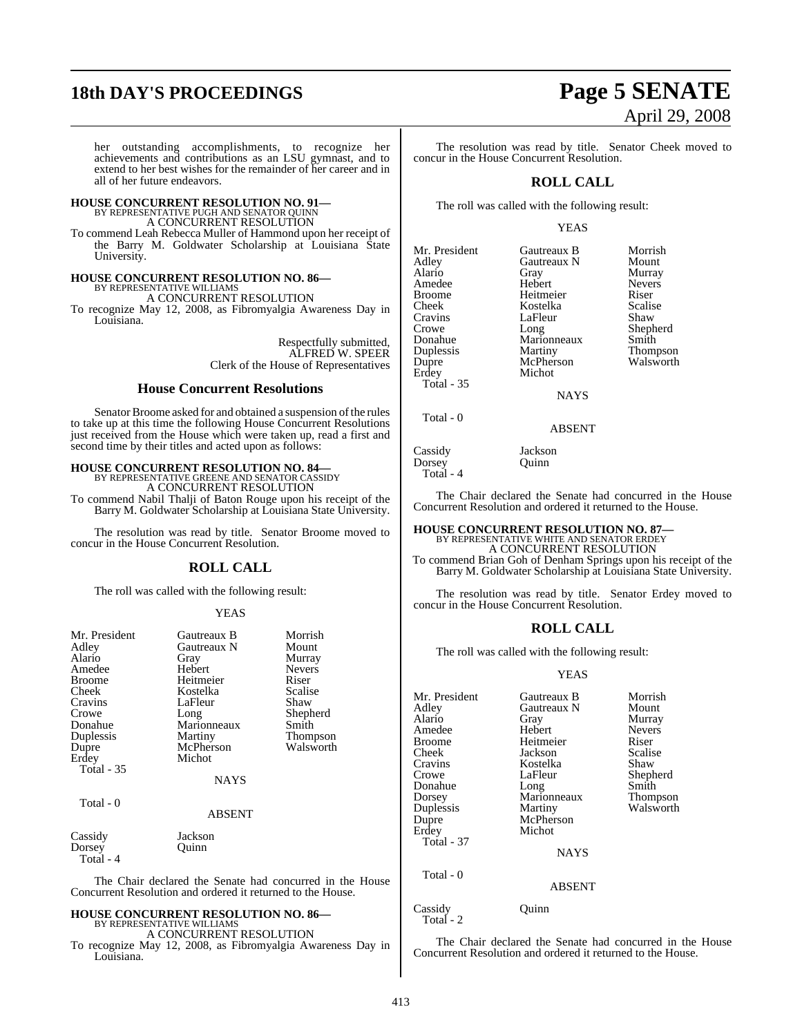# **18th DAY'S PROCEEDINGS Page 5 SENATE**

her outstanding accomplishments, to recognize her achievements and contributions as an LSU gymnast, and to extend to her best wishes for the remainder of her career and in all of her future endeavors.

### **HOUSE CONCURRENT RESOLUTION NO. 91—** BY REPRESENTATIVE PUGH AND SENATOR QUINN A CONCURRENT RESOLUTION

To commend Leah Rebecca Muller of Hammond upon her receipt of the Barry M. Goldwater Scholarship at Louisiana State University.

### **HOUSE CONCURRENT RESOLUTION NO. 86—**

BY REPRESENTATIVE WILLIAMS A CONCURRENT RESOLUTION

To recognize May 12, 2008, as Fibromyalgia Awareness Day in Louisiana.

> Respectfully submitted, ALFRED W. SPEER Clerk of the House of Representatives

### **House Concurrent Resolutions**

Senator Broome asked for and obtained a suspension of the rules to take up at this time the following House Concurrent Resolutions just received from the House which were taken up, read a first and second time by their titles and acted upon as follows:

**HOUSE CONCURRENT RESOLUTION NO. 84—** BY REPRESENTATIVE GREENE AND SENATOR CASSIDY A CONCURRENT RESOLUTION

To commend Nabil Thalji of Baton Rouge upon his receipt of the Barry M. Goldwater Scholarship at Louisiana State University.

The resolution was read by title. Senator Broome moved to concur in the House Concurrent Resolution.

### **ROLL CALL**

The roll was called with the following result:

### YEAS

| Mr. President       | Gautreaux B | Morrish       |
|---------------------|-------------|---------------|
| Adley               | Gautreaux N | Mount         |
| Alario              | Gray        | Murray        |
| Amedee              | Hebert      | <b>Nevers</b> |
| Broome              | Heitmeier   | Riser         |
| Cheek               | Kostelka    | Scalise       |
| Cravins             | LaFleur     | Shaw          |
| Crowe               | Long        | Shepherd      |
| Donahue             | Marionneaux | Smith         |
| Duplessis           | Martiny     | Thompson      |
| Dupre               | McPherson   | Walsworth     |
| Erdey               | Michot      |               |
| <b>Total - 35</b>   |             |               |
|                     | <b>NAYS</b> |               |
| Total - 0           |             |               |
|                     | ABSENT      |               |
| Cassidy             | Jackson     |               |
| Dorsey<br>Total - 4 | Ouinn       |               |

The Chair declared the Senate had concurred in the House Concurrent Resolution and ordered it returned to the House.

#### **HOUSE CONCURRENT RESOLUTION NO. 86—** BY REPRESENTATIVE WILLIAMS

A CONCURRENT RESOLUTION

To recognize May 12, 2008, as Fibromyalgia Awareness Day in Louisiana.

The resolution was read by title. Senator Cheek moved to concur in the House Concurrent Resolution.

### **ROLL CALL**

The roll was called with the following result:

### YEAS

| Mr. President | Gautreaux B | Morrish       |
|---------------|-------------|---------------|
| Adley         | Gautreaux N | Mount         |
| Alario        | Gray        | Murray        |
| Amedee        | Hebert      | <b>Nevers</b> |
| <b>Broome</b> | Heitmeier   | Riser         |
| Cheek         | Kostelka    | Scalise       |
| Cravins       | LaFleur     | Shaw          |
| Crowe         | Long        | Shepherd      |
| Donahue       | Marionneaux | Smith         |
| Duplessis     | Martiny     | Thompson      |
| Dupre         | McPherson   | Walsworth     |
| Erdey         | Michot      |               |
| Total - 35    |             |               |
|               | NAYS        |               |

NAYS

Total - 0

Dorsey Total - 4 ABSENT

Cassidy Jackson<br>Dorsey Ouinn

The Chair declared the Senate had concurred in the House Concurrent Resolution and ordered it returned to the House.

### **HOUSE CONCURRENT RESOLUTION NO. 87—** BY REPRESENTATIVE WHITE AND SENATOR ERDEY A CONCURRENT RESOLUTION

To commend Brian Goh of Denham Springs upon his receipt of the Barry M. Goldwater Scholarship at Louisiana State University.

The resolution was read by title. Senator Erdey moved to concur in the House Concurrent Resolution.

### **ROLL CALL**

The roll was called with the following result:

### YEAS

| Mr. President<br>Adley<br>Alario<br>Amedee<br><b>Broome</b><br>Cheek<br>Cravins<br>Crowe<br>Donahue<br>Dorsey<br>Duplessis<br>Dupre<br>Erdey<br><b>Total - 37</b> | Gautreaux B<br>Gautreaux N<br>Gray<br>Hebert<br>Heitmeier<br>Jackson<br>Kostelka<br>LaFleur<br>Long<br>Marionneaux<br>Martiny<br>McPherson<br>Michot<br><b>NAYS</b> | Morrish<br>Mount<br>Murray<br><b>Nevers</b><br>Riser<br>Scalise<br>Shaw<br>Shepherd<br>Smith<br>Thompson<br>Walsworth |
|-------------------------------------------------------------------------------------------------------------------------------------------------------------------|---------------------------------------------------------------------------------------------------------------------------------------------------------------------|-----------------------------------------------------------------------------------------------------------------------|
| Total - 0                                                                                                                                                         | <b>ABSENT</b>                                                                                                                                                       |                                                                                                                       |

Cassidy Quinn Total - 2

The Chair declared the Senate had concurred in the House Concurrent Resolution and ordered it returned to the House.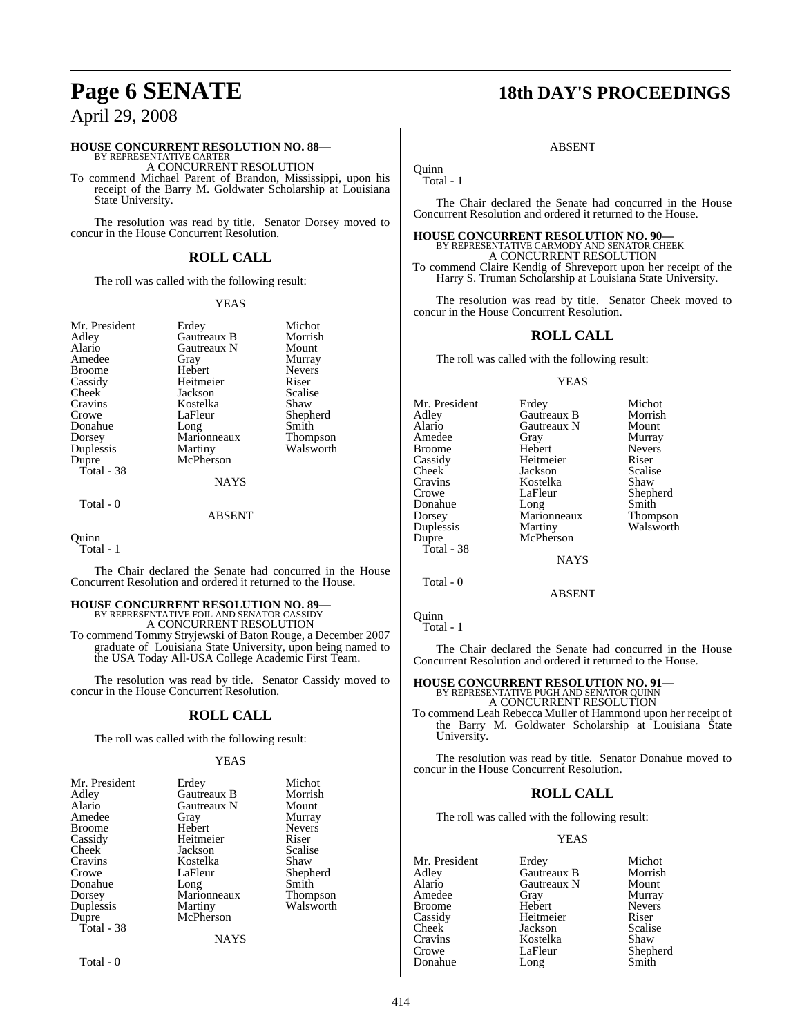### **HOUSE CONCURRENT RESOLUTION NO. 88—** BY REPRESENTATIVE CARTER

A CONCURRENT RESOLUTION

To commend Michael Parent of Brandon, Mississippi, upon his receipt of the Barry M. Goldwater Scholarship at Louisiana State University.

The resolution was read by title. Senator Dorsey moved to concur in the House Concurrent Resolution.

### **ROLL CALL**

The roll was called with the following result:

### YEAS

| Mr. President |
|---------------|
| Adley         |
| Alario        |
| Amedee        |
| Broome        |
| Cassidy       |
| Cheek         |
| Cravins       |
| Crowe         |
| Donahue       |
| Dorsey        |
| Duplessis     |
| Dupre         |
| Total - 38    |
|               |

Erdey Michot<br>Gautreaux B Morrish Gautreaux B Morrish<br>Gautreaux N Mount Gautreaux N<br>Gray Hebert Heitmeier Riser<br>
Jackson Scalise Jackson Scalis<br>Kostelka Shaw Kostelka<br>LaFleur Long Smith<br>Marionneaux Thompson Marionneaux<br>Martiny McPherson

Murray<br>Nevers

Shepherd<br>Smith

Walsworth

### ABSENT

NAYS

#### Quinn

Total - 1

Total - 0

The Chair declared the Senate had concurred in the House Concurrent Resolution and ordered it returned to the House.

### **HOUSE CONCURRENT RESOLUTION NO. 89—**

BY REPRESENTATIVE FOIL AND SENATOR CASSIDY A CONCURRENT RESOLUTION To commend Tommy Stryjewski of Baton Rouge, a December 2007

graduate of Louisiana State University, upon being named to the USA Today All-USA College Academic First Team.

The resolution was read by title. Senator Cassidy moved to concur in the House Concurrent Resolution.

### **ROLL CALL**

The roll was called with the following result:

### YEAS

| Erdey       | Michot        |
|-------------|---------------|
| Gautreaux B | Morrish       |
| Gautreaux N | Mount         |
| Gray        | Murray        |
| Hebert      | <b>Nevers</b> |
| Heitmeier   | Riser         |
| Jackson     | Scalise       |
| Kostelka    | Shaw          |
| LaFleur     | Shepherd      |
| Long        | Smith         |
| Marionneaux | Thompson      |
| Martiny     | Walsworth     |
| McPherson   |               |
|             |               |
| NAYS        |               |
|             |               |

Total - 0

# **Page 6 SENATE 18th DAY'S PROCEEDINGS**

### ABSENT

**Ouinn** Total - 1

The Chair declared the Senate had concurred in the House Concurrent Resolution and ordered it returned to the House.

**HOUSE CONCURRENT RESOLUTION NO. 90—** BY REPRESENTATIVE CARMODY AND SENATOR CHEEK A CONCURRENT RESOLUTION To commend Claire Kendig of Shreveport upon her receipt of the

Harry S. Truman Scholarship at Louisiana State University.

The resolution was read by title. Senator Cheek moved to concur in the House Concurrent Resolution.

### **ROLL CALL**

The roll was called with the following result:

### YEAS

| Mr. President | Erdey       | Michot        |
|---------------|-------------|---------------|
| Adley         | Gautreaux B | Morrish       |
| Alario        | Gautreaux N | Mount         |
| Amedee        | Gray        | Murray        |
| <b>Broome</b> | Hebert      | <b>Nevers</b> |
| Cassidy       | Heitmeier   | Riser         |
| Cheek         | Jackson     | Scalise       |
| Cravins       | Kostelka    | Shaw          |
| Crowe         | LaFleur     | Shepherd      |
| Donahue       | Long        | Smith         |
| Dorsey        | Marionneaux | Thompson      |
| Duplessis     | Martiny     | Walsworth     |
| Dupre         | McPherson   |               |
| Total - 38    |             |               |
|               | <b>NAYS</b> |               |

ABSENT

**Quinn** 

Total - 1

Total - 0

The Chair declared the Senate had concurred in the House Concurrent Resolution and ordered it returned to the House.

### **HOUSE CONCURRENT RESOLUTION NO. 91—**

BY REPRESENTATIVE PUGH AND SENATOR QUINN A CONCURRENT RESOLUTION

To commend Leah Rebecca Muller of Hammond upon her receipt of the Barry M. Goldwater Scholarship at Louisiana State University.

The resolution was read by title. Senator Donahue moved to concur in the House Concurrent Resolution.

### **ROLL CALL**

The roll was called with the following result:

### YEAS

Mr. President Erdey Michot<br>Adley Gautreaux B Morrish Adley Gautreaux B Morrish **Alaricaux N** Mount<br> **Gray** Murray Amedee Gray Murray<br>Broome Hebert Nevers Broome Hebert Never<br>
Cassidy Heitmeier Riser Cassidy Heitmeier Riser<br>Cheek Jackson Scalise Cheek Jackson Scalis<br>Cravins Kostelka Shaw Cravins Kostelka<br>Crowe LaFleur LaFleur Shepherd<br>Long Smith Donahue

414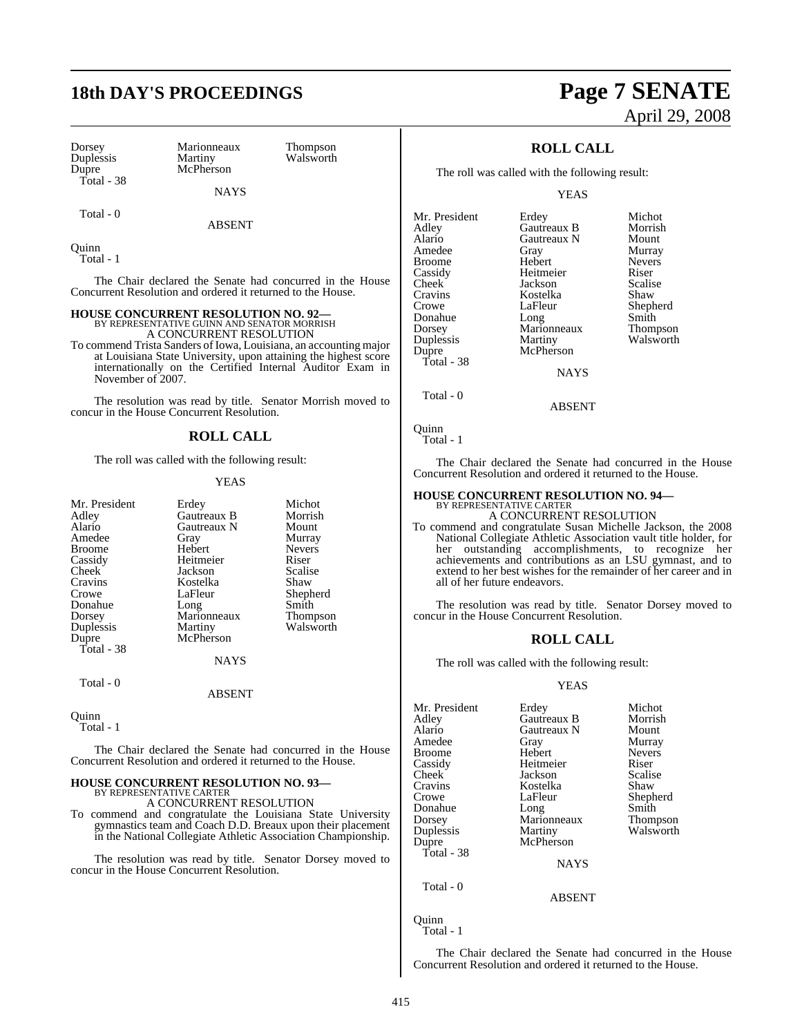## **18th DAY'S PROCEEDINGS Page 7 SENATE**

| Dorsey     |
|------------|
| Duplessis  |
| Dupre      |
| Total - 38 |

Total - 0

Marionneaux Thompson<br>Martiny Walsworth McPherson

Walsworth

ABSENT

**NAYS** 

Quinn Total - 1

The Chair declared the Senate had concurred in the House Concurrent Resolution and ordered it returned to the House.

### **HOUSE CONCURRENT RESOLUTION NO. 92—**

BY REPRESENTATIVE GUINN AND SENATOR MORRISH A CONCURRENT RESOLUTION

To commend Trista Sanders of Iowa, Louisiana, an accounting major at Louisiana State University, upon attaining the highest score internationally on the Certified Internal Auditor Exam in November of 2007.

The resolution was read by title. Senator Morrish moved to concur in the House Concurrent Resolution.

### **ROLL CALL**

The roll was called with the following result:

### YEAS

| Mr. President | Erdey       | Michot          |
|---------------|-------------|-----------------|
| Adley         | Gautreaux B | Morrish         |
| Alario        | Gautreaux N | Mount           |
| Amedee        | Gray        | Murray          |
| <b>Broome</b> | Hebert      | <b>Nevers</b>   |
| Cassidy       | Heitmeier   | Riser           |
| Cheek         | Jackson     | Scalise         |
| Cravins       | Kostelka    | Shaw            |
| Crowe         | LaFleur     | Shepherd        |
| Donahue       | Long        | Smith           |
| Dorsey        | Marionneaux | <b>Thompson</b> |
| Duplessis     | Martiny     | Walsworth       |
| Dupre         | McPherson   |                 |
| Total - 38    |             |                 |
|               | <b>NAYS</b> |                 |
| Total - 0     |             |                 |
|               | ABSENT      |                 |

Quinn Total - 1

The Chair declared the Senate had concurred in the House Concurrent Resolution and ordered it returned to the House.

# **HOUSE CONCURRENT RESOLUTION NO. 93—** BY REPRESENTATIVE CARTER A CONCURRENT RESOLUTION

To commend and congratulate the Louisiana State University gymnastics team and Coach D.D. Breaux upon their placement in the National Collegiate Athletic Association Championship.

The resolution was read by title. Senator Dorsey moved to concur in the House Concurrent Resolution.

# April 29, 2008

### **ROLL CALL**

The roll was called with the following result:

YEAS

| Mr. President | Erdey       | Michot        |
|---------------|-------------|---------------|
| Adley         | Gautreaux B | Morrish       |
| Alario        | Gautreaux N | Mount         |
| Amedee        | Gray        | Murray        |
| <b>Broome</b> | Hebert      | <b>Nevers</b> |
| Cassidy       | Heitmeier   | Riser         |
| Cheek         | Jackson     | Scalise       |
| Cravins       | Kostelka    | Shaw          |
| Crowe         | LaFleur     | Shepherd      |
| Donahue       | Long        | Smith         |
| Dorsey        | Marionneaux | Thompson      |
| Duplessis     | Martiny     | Walsworth     |
| Dupre         | McPherson   |               |
| Total - 38    |             |               |
|               | NAYS        |               |

Total - 0

Quinn Total - 1

The Chair declared the Senate had concurred in the House Concurrent Resolution and ordered it returned to the House.

ABSENT

# **HOUSE CONCURRENT RESOLUTION NO. 94—** BY REPRESENTATIVE CARTER A CONCURRENT RESOLUTION

To commend and congratulate Susan Michelle Jackson, the 2008 National Collegiate Athletic Association vault title holder, for her outstanding accomplishments, to recognize her achievements and contributions as an LSU gymnast, and to extend to her best wishes for the remainder of her career and in all of her future endeavors.

The resolution was read by title. Senator Dorsey moved to concur in the House Concurrent Resolution.

### **ROLL CALL**

The roll was called with the following result:

### YEAS

| Mr. President | Erdey       | Michot        |
|---------------|-------------|---------------|
| Adley         | Gautreaux B | Morrish       |
| Alario        | Gautreaux N | Mount         |
| Amedee        | Gray        | Murray        |
| <b>Broome</b> | Hebert      | <b>Nevers</b> |
| Cassidy       | Heitmeier   | Riser         |
| Cheek         | Jackson     | Scalise       |
| Cravins       | Kostelka    | Shaw          |
| Crowe         | LaFleur     | Shepherd      |
| Donahue       | Long        | Smith         |
| Dorsey        | Marionneaux | Thompson      |
| Duplessis     | Martiny     | Walsworth     |
| Dupre         | McPherson   |               |
| Total - 38    |             |               |
|               | <b>NAYS</b> |               |
| Total - 0     |             |               |
|               | ABSENT      |               |

Quinn Total - 1

The Chair declared the Senate had concurred in the House Concurrent Resolution and ordered it returned to the House.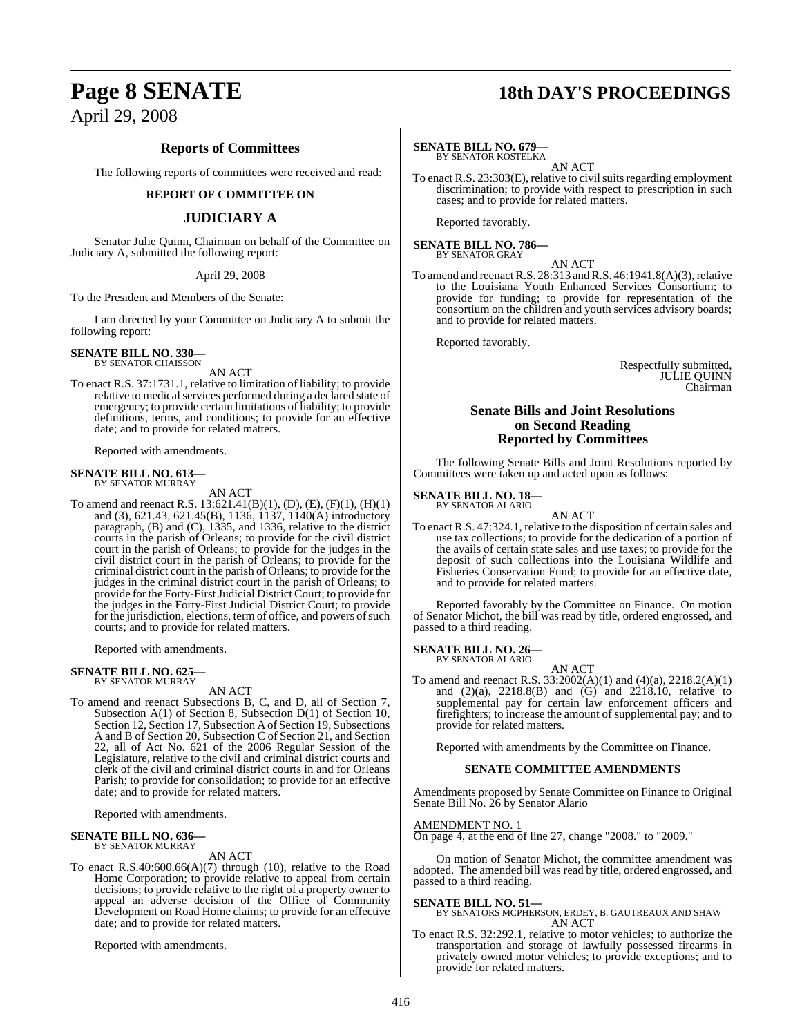### **Reports of Committees**

The following reports of committees were received and read:

### **REPORT OF COMMITTEE ON**

### **JUDICIARY A**

Senator Julie Quinn, Chairman on behalf of the Committee on Judiciary A, submitted the following report:

### April 29, 2008

To the President and Members of the Senate:

I am directed by your Committee on Judiciary A to submit the following report:

### **SENATE BILL NO. 330—** BY SENATOR CHAISSON

AN ACT

To enact R.S. 37:1731.1, relative to limitation of liability; to provide relative to medical services performed during a declared state of emergency; to provide certain limitations of liability; to provide definitions, terms, and conditions; to provide for an effective date; and to provide for related matters.

Reported with amendments.

### **SENATE BILL NO. 613—** BY SENATOR MURRAY

AN ACT

To amend and reenact R.S. 13:621.41(B)(1), (D), (E), (F)(1), (H)(1) and (3), 621.43, 621.45(B), 1136, 1137, 1140(A) introductory paragraph, (B) and (C), 1335, and 1336, relative to the district courts in the parish of Orleans; to provide for the civil district court in the parish of Orleans; to provide for the judges in the civil district court in the parish of Orleans; to provide for the criminal district court in the parish of Orleans; to provide for the judges in the criminal district court in the parish of Orleans; to provide for the Forty-First Judicial District Court; to provide for the judges in the Forty-First Judicial District Court; to provide for the jurisdiction, elections, term of office, and powers of such courts; and to provide for related matters.

Reported with amendments.

## **SENATE BILL NO. 625—** BY SENATOR MURRAY

AN ACT

To amend and reenact Subsections B, C, and D, all of Section 7, Subsection A(1) of Section 8, Subsection D(1) of Section 10, Section 12, Section 17, Subsection A of Section 19, Subsections A and B of Section 20, Subsection C of Section 21, and Section 22, all of Act No. 621 of the 2006 Regular Session of the Legislature, relative to the civil and criminal district courts and clerk of the civil and criminal district courts in and for Orleans Parish; to provide for consolidation; to provide for an effective date; and to provide for related matters.

Reported with amendments.

### **SENATE BILL NO. 636—** BY SENATOR MURRAY

AN ACT

To enact R.S.40:600.66(A)(7) through (10), relative to the Road Home Corporation; to provide relative to appeal from certain decisions; to provide relative to the right of a property owner to appeal an adverse decision of the Office of Community Development on Road Home claims; to provide for an effective date; and to provide for related matters.

Reported with amendments.

## **Page 8 SENATE 18th DAY'S PROCEEDINGS**

### **SENATE BILL NO. 679—**

BY SENATOR KOSTELKA AN ACT

To enact R.S. 23:303(E), relative to civil suits regarding employment discrimination; to provide with respect to prescription in such cases; and to provide for related matters.

Reported favorably.

**SENATE BILL NO. 786—** BY SENATOR GRAY

AN ACT

To amend and reenact R.S.  $28:313$  and R.S.  $46:1941.8(A)(3)$ , relative to the Louisiana Youth Enhanced Services Consortium; to provide for funding; to provide for representation of the consortium on the children and youth services advisory boards; and to provide for related matters.

Reported favorably.

Respectfully submitted, JULIE QUINN Chairman

### **Senate Bills and Joint Resolutions on Second Reading Reported by Committees**

The following Senate Bills and Joint Resolutions reported by Committees were taken up and acted upon as follows:

#### **SENATE BILL NO. 18—** BY SENATOR ALARIO

AN ACT

To enact R.S. 47:324.1, relative to the disposition of certain sales and use tax collections; to provide for the dedication of a portion of the avails of certain state sales and use taxes; to provide for the deposit of such collections into the Louisiana Wildlife and Fisheries Conservation Fund; to provide for an effective date, and to provide for related matters.

Reported favorably by the Committee on Finance. On motion of Senator Michot, the bill was read by title, ordered engrossed, and passed to a third reading.

**SENATE BILL NO. 26—**

BY SENATOR ALARIO AN ACT

To amend and reenact R.S. 33:2002(A)(1) and (4)(a), 2218.2(A)(1) and  $(2)(a)$ ,  $2218.8(B)$  and  $(G)$  and  $2218.10$ , relative to supplemental pay for certain law enforcement officers and firefighters; to increase the amount of supplemental pay; and to provide for related matters.

Reported with amendments by the Committee on Finance.

### **SENATE COMMITTEE AMENDMENTS**

Amendments proposed by Senate Committee on Finance to Original Senate Bill No. 26 by Senator Alario

AMENDMENT NO. 1 On page 4, at the end of line 27, change "2008." to "2009."

On motion of Senator Michot, the committee amendment was adopted. The amended bill was read by title, ordered engrossed, and passed to a third reading.

**SENATE BILL NO. 51—** BY SENATORS MCPHERSON, ERDEY, B. GAUTREAUX AND SHAW AN ACT

To enact R.S. 32:292.1, relative to motor vehicles; to authorize the transportation and storage of lawfully possessed firearms in privately owned motor vehicles; to provide exceptions; and to provide for related matters.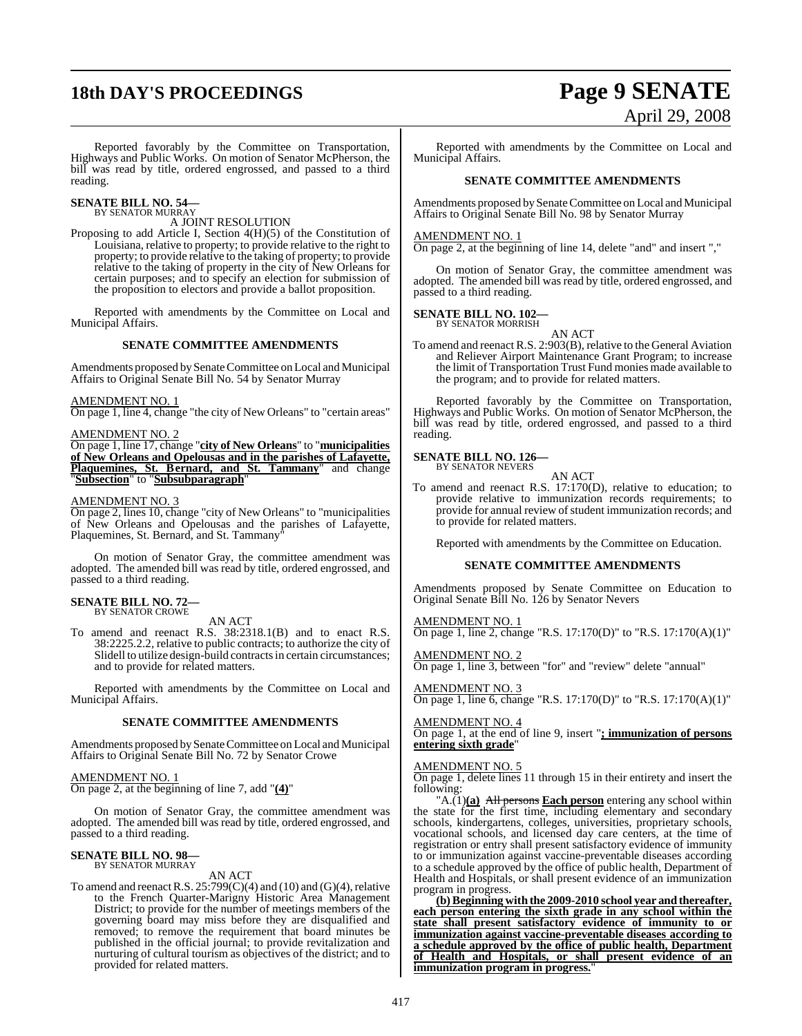# **18th DAY'S PROCEEDINGS Page 9 SENATE**

# April 29, 2008

Reported favorably by the Committee on Transportation, Highways and Public Works. On motion of Senator McPherson, the bill was read by title, ordered engrossed, and passed to a third reading.

#### **SENATE BILL NO. 54—** BY SENATOR MURRAY

A JOINT RESOLUTION

Proposing to add Article I, Section 4(H)(5) of the Constitution of Louisiana, relative to property; to provide relative to the right to property; to provide relative to the taking of property; to provide relative to the taking of property in the city of New Orleans for certain purposes; and to specify an election for submission of the proposition to electors and provide a ballot proposition.

Reported with amendments by the Committee on Local and Municipal Affairs.

### **SENATE COMMITTEE AMENDMENTS**

Amendments proposed bySenate Committee on Local and Municipal Affairs to Original Senate Bill No. 54 by Senator Murray

#### AMENDMENT NO. 1

On page 1, line 4, change "the city of New Orleans" to "certain areas"

### AMENDMENT NO. 2

On page 1, line 17, change "**city of New Orleans**" to "**municipalities of New Orleans and Opelousas and in the parishes of Lafayette, Plaquemines, St. Bernard, and St. Tammany**" and change "**Subsection**" to "**Subsubparagraph**"

### AMENDMENT NO. 3

On page 2, lines 10, change "city of New Orleans" to "municipalities of New Orleans and Opelousas and the parishes of Lafayette, Plaquemines, St. Bernard, and St. Tammany

On motion of Senator Gray, the committee amendment was adopted. The amended bill was read by title, ordered engrossed, and passed to a third reading.

### **SENATE BILL NO. 72—** BY SENATOR CROWE

AN ACT

To amend and reenact R.S. 38:2318.1(B) and to enact R.S. 38:2225.2.2, relative to public contracts; to authorize the city of Slidell to utilize design-build contracts in certain circumstances; and to provide for related matters.

Reported with amendments by the Committee on Local and Municipal Affairs.

### **SENATE COMMITTEE AMENDMENTS**

Amendments proposed by Senate Committee on Local and Municipal Affairs to Original Senate Bill No. 72 by Senator Crowe

### AMENDMENT NO. 1

On page 2, at the beginning of line 7, add "**(4)**"

On motion of Senator Gray, the committee amendment was adopted. The amended bill was read by title, ordered engrossed, and passed to a third reading.

#### **SENATE BILL NO. 98—** BY SENATOR MURRAY

AN ACT

To amend and reenact R.S.  $25:799(C)(4)$  and (10) and (G)(4), relative to the French Quarter-Marigny Historic Area Management District; to provide for the number of meetings members of the governing board may miss before they are disqualified and removed; to remove the requirement that board minutes be published in the official journal; to provide revitalization and nurturing of cultural tourism as objectives of the district; and to provided for related matters.

Reported with amendments by the Committee on Local and Municipal Affairs.

### **SENATE COMMITTEE AMENDMENTS**

Amendments proposed by Senate Committee on Local and Municipal Affairs to Original Senate Bill No. 98 by Senator Murray

### AMENDMENT NO. 1

On page 2, at the beginning of line 14, delete "and" and insert ","

On motion of Senator Gray, the committee amendment was adopted. The amended bill was read by title, ordered engrossed, and passed to a third reading.

#### **SENATE BILL NO. 102—** BY SENATOR MORRISH

AN ACT To amend and reenact R.S. 2:903(B), relative to the General Aviation and Reliever Airport Maintenance Grant Program; to increase the limit of Transportation Trust Fund monies made available to the program; and to provide for related matters.

Reported favorably by the Committee on Transportation, Highways and Public Works. On motion of Senator McPherson, the bill was read by title, ordered engrossed, and passed to a third reading.

### **SENATE BILL NO. 126—** BY SENATOR NEVERS

AN ACT

To amend and reenact R.S. 17:170(D), relative to education; to provide relative to immunization records requirements; to provide for annual review of student immunization records; and to provide for related matters.

Reported with amendments by the Committee on Education.

### **SENATE COMMITTEE AMENDMENTS**

Amendments proposed by Senate Committee on Education to Original Senate Bill No. 126 by Senator Nevers

AMENDMENT NO. 1 On page 1, line 2, change "R.S. 17:170(D)" to "R.S. 17:170(A)(1)"

AMENDMENT NO. 2 On page 1, line 3, between "for" and "review" delete "annual"

### AMENDMENT NO. 4

AMENDMENT NO. 3

On page 1, at the end of line 9, insert "**; immunization of persons entering sixth grade**"

On page 1, line 6, change "R.S. 17:170(D)" to "R.S. 17:170(A)(1)"

#### AMENDMENT NO. 5

On page 1, delete lines 11 through 15 in their entirety and insert the following:

"A.(1)**(a)** All persons **Each person** entering any school within the state for the first time, including elementary and secondary schools, kindergartens, colleges, universities, proprietary schools, vocational schools, and licensed day care centers, at the time of registration or entry shall present satisfactory evidence of immunity to or immunization against vaccine-preventable diseases according to a schedule approved by the office of public health, Department of Health and Hospitals, or shall present evidence of an immunization program in progress.

**(b)Beginning with the 2009-2010 school year and thereafter, each person entering the sixth grade in any school within the state shall present satisfactory evidence of immunity to or immunization against vaccine-preventable diseases according to a schedule approved by the office of public health, Department of Health and Hospitals, or shall present evidence of an immunization program in progress.**"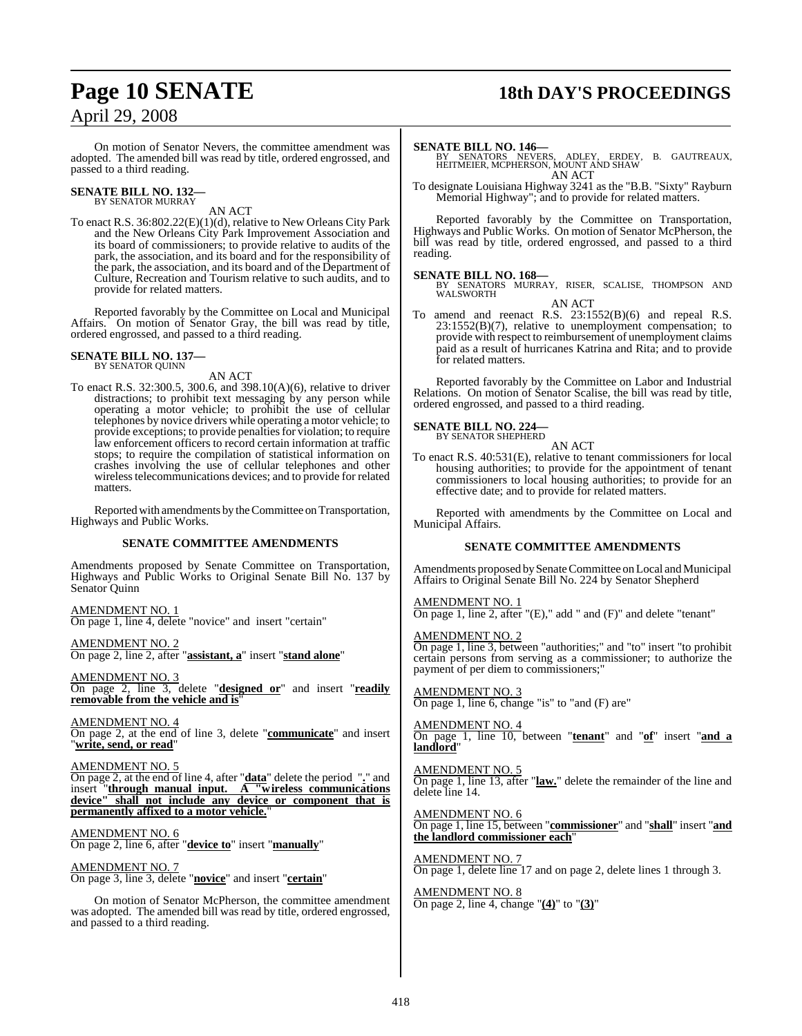### **Page 10 SENATE 18th DAY'S PROCEEDINGS**

On motion of Senator Nevers, the committee amendment was adopted. The amended bill was read by title, ordered engrossed, and passed to a third reading.

### **SENATE BILL NO. 132—** BY SENATOR MURRAY

AN ACT

To enact R.S. 36:802.22(E)(1)(d), relative to New Orleans City Park and the New Orleans City Park Improvement Association and its board of commissioners; to provide relative to audits of the park, the association, and its board and for the responsibility of the park, the association, and its board and of the Department of Culture, Recreation and Tourism relative to such audits, and to provide for related matters.

Reported favorably by the Committee on Local and Municipal Affairs. On motion of Senator Gray, the bill was read by title, ordered engrossed, and passed to a third reading.

#### **SENATE BILL NO. 137—** BY SENATOR QUINN

AN ACT

To enact R.S. 32:300.5, 300.6, and 398.10(A)(6), relative to driver distractions; to prohibit text messaging by any person while operating a motor vehicle; to prohibit the use of cellular telephones by novice drivers while operating a motor vehicle; to provide exceptions; to provide penalties for violation; to require law enforcement officers to record certain information at traffic stops; to require the compilation of statistical information on crashes involving the use of cellular telephones and other wirelesstelecommunications devices; and to provide for related matters.

Reported with amendments by the Committee on Transportation, Highways and Public Works.

### **SENATE COMMITTEE AMENDMENTS**

Amendments proposed by Senate Committee on Transportation, Highways and Public Works to Original Senate Bill No. 137 by Senator Quinn

AMENDMENT NO. 1 On page 1, line 4, delete "novice" and insert "certain"

AMENDMENT NO. 2 On page 2, line 2, after "**assistant, a**" insert "**stand alone**"

AMENDMENT NO. 3 On page 2, line 3, delete "**designed or**" and insert "**readily removable from the vehicle and is**"

AMENDMENT NO. 4 On page 2, at the end of line 3, delete "**communicate**" and insert "**write, send, or read**"

AMENDMENT NO. 5 On page 2, at the end of line 4, after "**data**" delete the period "**.**" and insert "**through manual input. A "wireless communications device" shall not include any device or component that is permanently affixed to a motor vehicle.**"

AMENDMENT NO. 6 On page 2, line 6, after "**device to**" insert "**manually**"

AMENDMENT NO. 7 On page 3, line 3, delete "**novice**" and insert "**certain**"

On motion of Senator McPherson, the committee amendment was adopted. The amended bill was read by title, ordered engrossed, and passed to a third reading.

**SENATE BILL NO. 146—** BY SENATORS NEVERS, ADLEY, ERDEY, B. GAUTREAUX, HEITMEIER, MCPHERSON, MOUNT AND SHAW AN ACT

To designate Louisiana Highway 3241 as the "B.B. "Sixty" Rayburn Memorial Highway"; and to provide for related matters.

Reported favorably by the Committee on Transportation, Highways and Public Works. On motion of Senator McPherson, the bill was read by title, ordered engrossed, and passed to a third reading.

**SENATE BILL NO. 168—**<br>BY SENATORS MURRAY, RISER, SCALISE, THOMPSON AND WALSWORTH AN ACT

To amend and reenact R.S. 23:1552(B)(6) and repeal R.S. 23:1552(B)(7), relative to unemployment compensation; to provide with respect to reimbursement of unemployment claims paid as a result of hurricanes Katrina and Rita; and to provide for related matters.

Reported favorably by the Committee on Labor and Industrial Relations. On motion of Senator Scalise, the bill was read by title, ordered engrossed, and passed to a third reading.

### **SENATE BILL NO. 224—** BY SENATOR SHEPHERD

AN ACT

To enact R.S. 40:531(E), relative to tenant commissioners for local housing authorities; to provide for the appointment of tenant commissioners to local housing authorities; to provide for an effective date; and to provide for related matters.

Reported with amendments by the Committee on Local and Municipal Affairs.

### **SENATE COMMITTEE AMENDMENTS**

Amendments proposed by Senate Committee on Local and Municipal Affairs to Original Senate Bill No. 224 by Senator Shepherd

### AMENDMENT NO. 1

On page 1, line 2, after "(E)," add " and (F)" and delete "tenant"

### AMENDMENT NO. 2

On page 1, line 3, between "authorities;" and "to" insert "to prohibit certain persons from serving as a commissioner; to authorize the payment of per diem to commissioners;"

### AMENDMENT NO. 3

On page 1, line 6, change "is" to "and (F) are"

### AMENDMENT NO. 4

On page 1, line 10, between "**tenant**" and "**of**" insert "**and a landlord**"

### AMENDMENT NO. 5

On page 1, line 13, after "**law.**" delete the remainder of the line and delete line 14.

### AMENDMENT NO. 6

On page 1, line 15, between "**commissioner**" and "**shall**" insert "**and the landlord commissioner each**"

### AMENDMENT NO. 7

On page 1, delete line 17 and on page 2, delete lines 1 through 3.

AMENDMENT NO. 8 On page 2, line 4, change "**(4)**" to "**(3)**"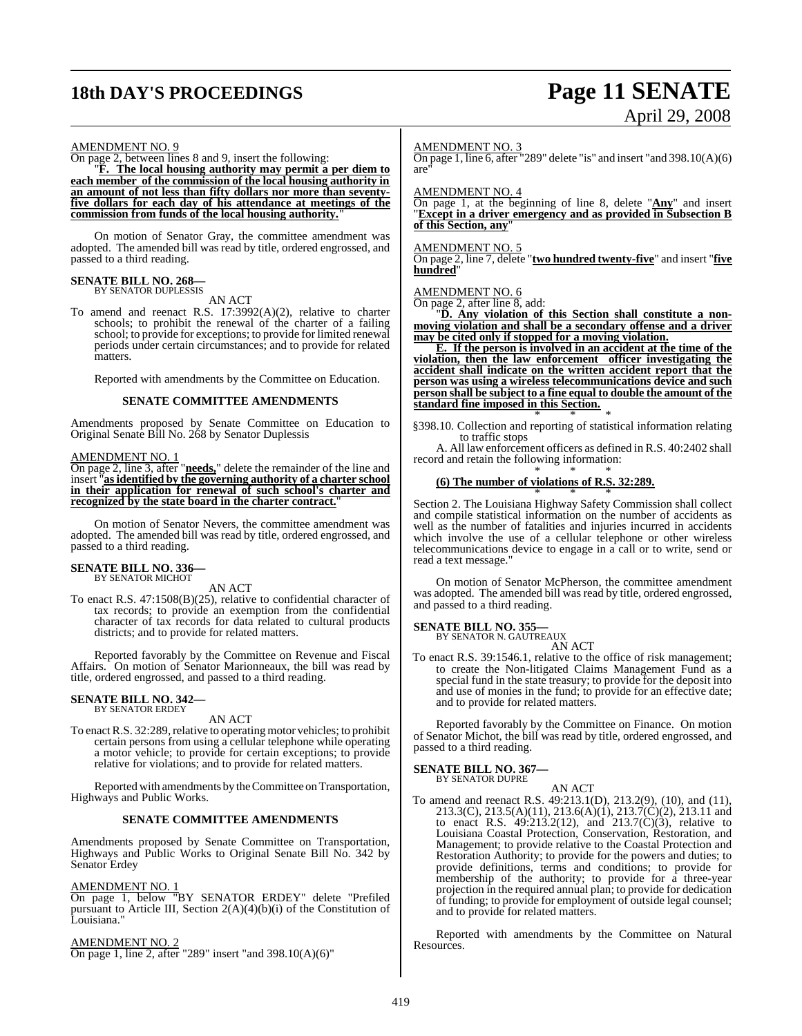### **18th DAY'S PROCEEDINGS Page 11 SENATE**

# April 29, 2008

### AMENDMENT NO. 9

On page 2, between lines 8 and 9, insert the following:

"**F. The local housing authority may permit a per diem to each member of the commission of the local housing authority in an amount of not less than fifty dollars nor more than seventyfive dollars for each day of his attendance at meetings of the commission from funds of the local housing authority.**"

On motion of Senator Gray, the committee amendment was adopted. The amended bill was read by title, ordered engrossed, and passed to a third reading.

### **SENATE BILL NO. 268—** BY SENATOR DUPLESSIS

AN ACT

To amend and reenact R.S. 17:3992(A)(2), relative to charter schools; to prohibit the renewal of the charter of a failing school; to provide for exceptions; to provide for limited renewal periods under certain circumstances; and to provide for related matters.

Reported with amendments by the Committee on Education.

### **SENATE COMMITTEE AMENDMENTS**

Amendments proposed by Senate Committee on Education to Original Senate Bill No. 268 by Senator Duplessis

### AMENDMENT NO. 1

On page 2, line 3, after "**needs,**" delete the remainder of the line and insert "**asidentified by the governing authority of a charter school in their application for renewal of such school's charter and** recognized by the state board in the charter contract.

On motion of Senator Nevers, the committee amendment was adopted. The amended bill was read by title, ordered engrossed, and passed to a third reading.

#### **SENATE BILL NO. 336—** BY SENATOR MICHOT

AN ACT

To enact R.S. 47:1508(B)(25), relative to confidential character of tax records; to provide an exemption from the confidential character of tax records for data related to cultural products districts; and to provide for related matters.

Reported favorably by the Committee on Revenue and Fiscal Affairs. On motion of Senator Marionneaux, the bill was read by title, ordered engrossed, and passed to a third reading.

#### **SENATE BILL NO. 342—** BY SENATOR ERDEY

AN ACT

To enact R.S. 32:289, relative to operating motor vehicles; to prohibit certain persons from using a cellular telephone while operating a motor vehicle; to provide for certain exceptions; to provide relative for violations; and to provide for related matters.

Reported with amendments by the Committee on Transportation, Highways and Public Works.

### **SENATE COMMITTEE AMENDMENTS**

Amendments proposed by Senate Committee on Transportation, Highways and Public Works to Original Senate Bill No. 342 by Senator Erdey

### AMENDMENT NO. 1

On page 1, below "BY SENATOR ERDEY" delete "Prefiled pursuant to Article III, Section 2(A)(4)(b)(i) of the Constitution of Louisiana."

### AMENDMENT NO. 2

On page 1, line 2, after "289" insert "and 398.10(A)(6)"

### AMENDMENT NO. 3

On page 1, line 6, after "289" delete "is" and insert "and 398.10(A)(6) are"

AMENDMENT NO. 4

On page 1, at the beginning of line 8, delete "**Any**" and insert "**Except in a driver emergency and as provided in Subsection B of this Section, any**"

### AMENDMENT NO. 5

On page 2, line 7, delete "**two hundred twenty-five**" and insert "**five hundred**"

### AMENDMENT NO. 6

On page 2, after line 8, add:

"**D. Any violation of this Section shall constitute a nonmoving violation and shall be a secondary offense and a driver may be cited only if stopped for a moving violation.**

**E. If the person is involved in an accident at the time of the violation, then the law enforcement officer investigating the accident shall indicate on the written accident report that the person was using a wireless telecommunications device and such person shall be subject to a fine equal to double the amount of the standard fine imposed in this Section.** \* \* \*

§398.10. Collection and reporting of statistical information relating to traffic stops

A. All law enforcement officers as defined in R.S. 40:2402 shall record and retain the following information: \* \* \*

### **(6) The number of violations of R.S. 32:289.**

\* \* \* Section 2. The Louisiana Highway Safety Commission shall collect and compile statistical information on the number of accidents as well as the number of fatalities and injuries incurred in accidents which involve the use of a cellular telephone or other wireless telecommunications device to engage in a call or to write, send or read a text message."

On motion of Senator McPherson, the committee amendment was adopted. The amended bill was read by title, ordered engrossed, and passed to a third reading.

### **SENATE BILL NO. 355—**

BY SENATOR N. GAUTREAUX AN ACT

To enact R.S. 39:1546.1, relative to the office of risk management; to create the Non-litigated Claims Management Fund as a special fund in the state treasury; to provide for the deposit into and use of monies in the fund; to provide for an effective date; and to provide for related matters.

Reported favorably by the Committee on Finance. On motion of Senator Michot, the bill was read by title, ordered engrossed, and passed to a third reading.

### **SENATE BILL NO. 367—**

BY SENATOR DUPRE AN ACT

To amend and reenact R.S. 49:213.1(D), 213.2(9), (10), and (11), 213.3(C), 213.5(A)(11), 213.6(A)(1), 213.7(C)(2), 213.11 and to enact R.S. 49:213.2(12), and 213.7(C)(3), relative to Louisiana Coastal Protection, Conservation, Restoration, and Management; to provide relative to the Coastal Protection and Restoration Authority; to provide for the powers and duties; to provide definitions, terms and conditions; to provide for membership of the authority; to provide for a three-year projection in the required annual plan; to provide for dedication of funding; to provide for employment of outside legal counsel; and to provide for related matters.

Reported with amendments by the Committee on Natural Resources.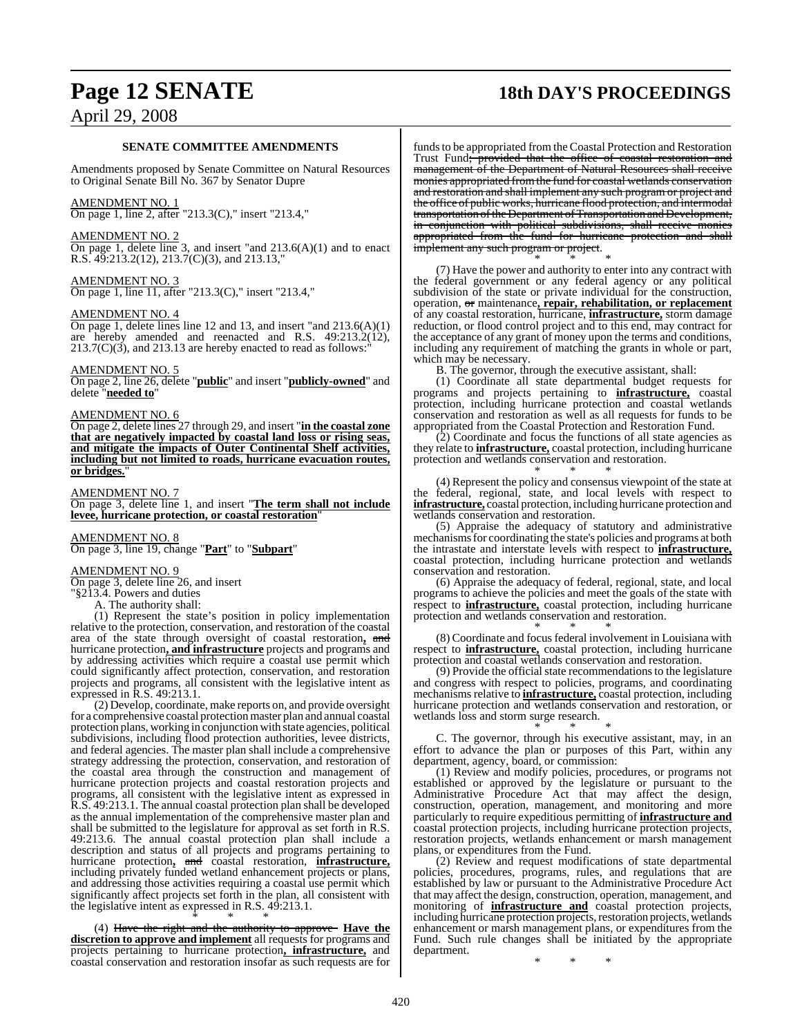### **SENATE COMMITTEE AMENDMENTS**

Amendments proposed by Senate Committee on Natural Resources to Original Senate Bill No. 367 by Senator Dupre

### AMENDMENT NO. 1

On page 1, line 2, after "213.3(C)," insert "213.4,"

### AMENDMENT NO. 2

On page 1, delete line 3, and insert "and 213.6(A)(1) and to enact R.S. 49:213.2(12), 213.7(C)(3), and 213.13,"

### AMENDMENT NO. 3

On page 1, line 11, after "213.3(C)," insert "213.4,"

### AMENDMENT NO. 4

On page 1, delete lines line 12 and 13, and insert "and 213.6(A)(1) are hereby amended and reenacted and R.S. 49:213.2(12),  $213.7(C)(3)$ , and  $213.13$  are hereby enacted to read as follows:

### AMENDMENT NO. 5

On page 2, line 26, delete "**public**" and insert "**publicly-owned**" and delete "**needed to**"

### AMENDMENT NO. 6

On page 2, delete lines 27 through 29, and insert "**in the coastal zone that are negatively impacted by coastal land loss or rising seas, and mitigate the impacts of Outer Continental Shelf activities, including but not limited to roads, hurricane evacuation routes, or bridges.**"

### AMENDMENT NO. 7

On page 3, delete line 1, and insert "**The term shall not include levee, hurricane protection, or coastal restoration**"

### AMENDMENT NO. 8

On page 3, line 19, change "**Part**" to "**Subpart**"

### AMENDMENT NO. 9

On page 3, delete line 26, and insert

"§213.4. Powers and duties

A. The authority shall:

(1) Represent the state's position in policy implementation relative to the protection, conservation, and restoration of the coastal area of the state through oversight of coastal restoration**,** and hurricane protection**, and infrastructure** projects and programs and by addressing activities which require a coastal use permit which could significantly affect protection, conservation, and restoration projects and programs, all consistent with the legislative intent as expressed in R.S. 49:213.1.

(2) Develop, coordinate, make reports on, and provide oversight for a comprehensive coastal protection master plan and annual coastal protection plans, working in conjunction with state agencies, political subdivisions, including flood protection authorities, levee districts, and federal agencies. The master plan shall include a comprehensive strategy addressing the protection, conservation, and restoration of the coastal area through the construction and management of hurricane protection projects and coastal restoration projects and programs, all consistent with the legislative intent as expressed in R.S. 49:213.1. The annual coastal protection plan shall be developed as the annual implementation of the comprehensive master plan and shall be submitted to the legislature for approval as set forth in R.S. 49:213.6. The annual coastal protection plan shall include a description and status of all projects and programs pertaining to hurricane protection**,** and coastal restoration, **infrastructure,** including privately funded wetland enhancement projects or plans, and addressing those activities requiring a coastal use permit which significantly affect projects set forth in the plan, all consistent with the legislative intent as expressed in R.S. 49:213.1. \* \* \*

(4) Have the right and the authority to approve **Have the discretion to approve and implement** all requests for programs and projects pertaining to hurricane protection**, infrastructure,** and coastal conservation and restoration insofar as such requests are for

### **Page 12 SENATE 18th DAY'S PROCEEDINGS**

funds to be appropriated from the Coastal Protection and Restoration Trust Fund<del>; provided that the office of coastal restoration and</del> management of the Department of Natural Resources shall receive monies appropriated fromthe fund for coastal wetlands conservation and restoration and shall implement any such program or project and the office of public works, hurricane flood protection, and intermodal transportation of the Department of Transportation and Development, in conjunction with political subdivisions, shall receive monies appropriated from the fund for hurricane protection and shall implement any such program or project. \* \* \*

(7) Have the power and authority to enter into any contract with the federal government or any federal agency or any political subdivision of the state or private individual for the construction, operation, or maintenance**, repair, rehabilitation, or replacement** of any coastal restoration, hurricane, **infrastructure,** storm damage reduction, or flood control project and to this end, may contract for the acceptance of any grant of money upon the terms and conditions, including any requirement of matching the grants in whole or part, which may be necessary.

B. The governor, through the executive assistant, shall:

(1) Coordinate all state departmental budget requests for programs and projects pertaining to **infrastructure,** coastal protection, including hurricane protection and coastal wetlands conservation and restoration as well as all requests for funds to be appropriated from the Coastal Protection and Restoration Fund.

(2) Coordinate and focus the functions of all state agencies as they relate to **infrastructure,** coastal protection, including hurricane protection and wetlands conservation and restoration.

\* \* \* (4) Represent the policy and consensus viewpoint of the state at the federal, regional, state, and local levels with respect to **infrastructure,** coastal protection, including hurricane protection and wetlands conservation and restoration.

(5) Appraise the adequacy of statutory and administrative mechanismsfor coordinating the state's policies and programs at both the intrastate and interstate levels with respect to **infrastructure,** coastal protection, including hurricane protection and wetlands conservation and restoration.

(6) Appraise the adequacy of federal, regional, state, and local programs to achieve the policies and meet the goals of the state with respect to **infrastructure,** coastal protection, including hurricane protection and wetlands conservation and restoration.

\* \* \* (8) Coordinate and focus federal involvement in Louisiana with respect to **infrastructure,** coastal protection, including hurricane protection and coastal wetlands conservation and restoration.

(9) Provide the official state recommendations to the legislature and congress with respect to policies, programs, and coordinating mechanisms relative to **infrastructure,** coastal protection, including hurricane protection and wetlands conservation and restoration, or wetlands loss and storm surge research.

\* \* \* C. The governor, through his executive assistant, may, in an effort to advance the plan or purposes of this Part, within any department, agency, board, or commission:

(1) Review and modify policies, procedures, or programs not established or approved by the legislature or pursuant to the Administrative Procedure Act that may affect the design, construction, operation, management, and monitoring and more particularly to require expeditious permitting of **infrastructure and** coastal protection projects, including hurricane protection projects, restoration projects, wetlands enhancement or marsh management plans, or expenditures from the Fund.

(2) Review and request modifications of state departmental policies, procedures, programs, rules, and regulations that are established by law or pursuant to the Administrative Procedure Act that may affect the design, construction, operation, management, and monitoring of **infrastructure and** coastal protection projects, including hurricane protection projects, restoration projects, wetlands enhancement or marsh management plans, or expenditures from the Fund. Such rule changes shall be initiated by the appropriate department.

\* \* \*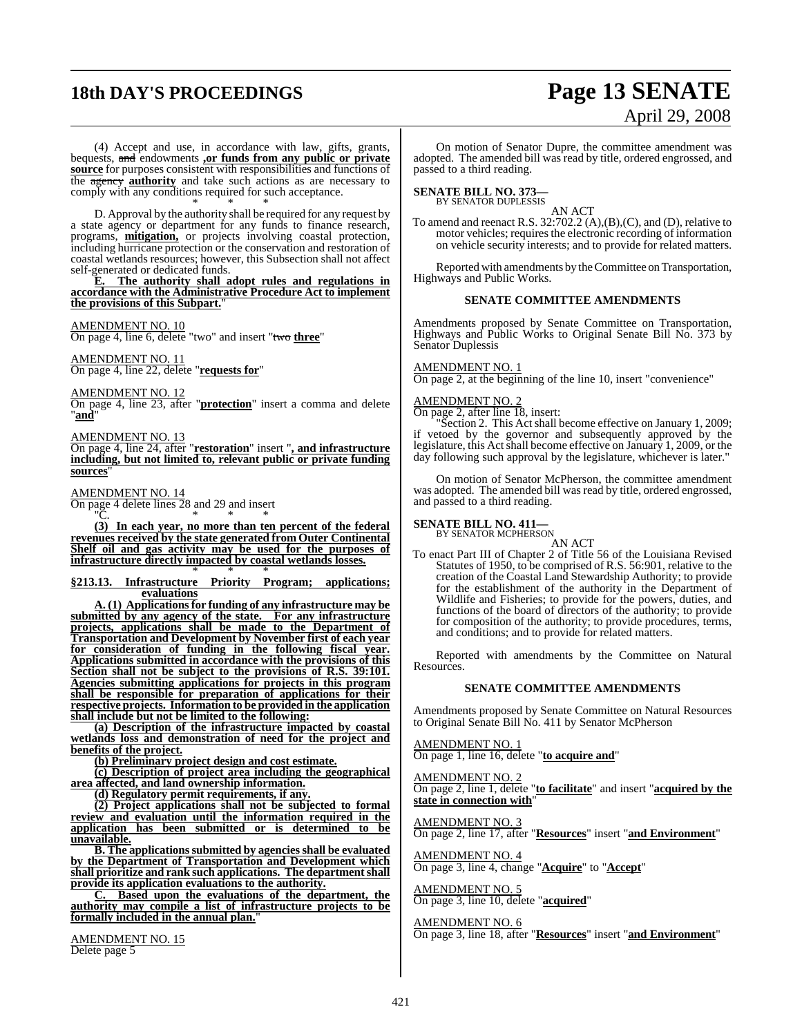# **18th DAY'S PROCEEDINGS Page 13 SENATE**

# April 29, 2008

(4) Accept and use, in accordance with law, gifts, grants, bequests, and endowments **,or funds from any public or private source** for purposes consistent with responsibilities and functions of the agency **authority** and take such actions as are necessary to comply with any conditions required for such acceptance. \* \* \*

D. Approval by the authority shall be required for any request by a state agency or department for any funds to finance research, programs, **mitigation,** or projects involving coastal protection, including hurricane protection or the conservation and restoration of coastal wetlands resources; however, this Subsection shall not affect self-generated or dedicated funds.

**E. The authority shall adopt rules and regulations in accordance with the Administrative Procedure Act to implement the provisions of this Subpart.**"

### AMENDMENT NO. 10

On page 4, line 6, delete "two" and insert "two **three**"

AMENDMENT NO. 11 On page 4, line 22, delete "**requests for**"

AMENDMENT NO. 12

On page 4, line 23, after "**protection**" insert a comma and delete "**and**"

#### AMENDMENT NO. 13

On page 4, line 24, after "**restoration**" insert "**, and infrastructure including, but not limited to, relevant public or private funding sources**"

### AMENDMENT NO. 14

On page 4 delete lines 28 and 29 and insert "C. \* \* \*

**(3) In each year, no more than ten percent of the federal revenues received by the state generated from Outer Continental Shelf oil and gas activity may be used for the purposes of infrastructure directly impacted by coastal wetlands losses.** \* \* \*

#### **§213.13. Infrastructure Priority Program; applications; evaluations**

**A. (1) Applications for funding of any infrastructure may be submitted by any agency of the state. For any infrastructure projects, applications shall be made to the Department of Transportation and Development by November first of each year for consideration of funding in the following fiscal year. Applications submitted in accordance with the provisions of this Section shall not be subject to the provisions of R.S. 39:101. Agencies submitting applications for projects in this program shall be responsible for preparation of applications for their respective projects. Information to be provided in the application shall include but not be limited to the following:**

**(a) Description of the infrastructure impacted by coastal wetlands loss and demonstration of need for the project and benefits of the project.**

**(b) Preliminary project design and cost estimate.**

**(c) Description of project area including the geographical area affected, and land ownership information.**

**(d) Regulatory permit requirements, if any.**

**(2) Project applications shall not be subjected to formal review and evaluation until the information required in the application has been submitted or is determined to be unavailable.**

**B. The applicationssubmitted by agencies shall be evaluated by the Department of Transportation and Development which shall prioritize and rank such applications. The department shall provide its application evaluations to the authority.**

**C. Based upon the evaluations of the department, the authority may compile a list of infrastructure projects to be formally included in the annual plan.**"

AMENDMENT NO. 15 Delete page 5

On motion of Senator Dupre, the committee amendment was adopted. The amended bill was read by title, ordered engrossed, and passed to a third reading.

### **SENATE BILL NO. 373—** BY SENATOR DUPLESSIS

AN ACT

To amend and reenact R.S. 32:702.2 (A),(B),(C), and (D), relative to motor vehicles; requires the electronic recording of information on vehicle security interests; and to provide for related matters.

Reported with amendments by theCommittee on Transportation, Highways and Public Works.

### **SENATE COMMITTEE AMENDMENTS**

Amendments proposed by Senate Committee on Transportation, Highways and Public Works to Original Senate Bill No. 373 by Senator Duplessis

### AMENDMENT NO. 1

On page 2, at the beginning of the line 10, insert "convenience"

### AMENDMENT NO. 2

On page 2, after line 18, insert:

"Section 2. This Act shall become effective on January 1, 2009; if vetoed by the governor and subsequently approved by the legislature, this Act shall become effective on January 1, 2009, or the day following such approval by the legislature, whichever is later."

On motion of Senator McPherson, the committee amendment was adopted. The amended bill was read by title, ordered engrossed, and passed to a third reading.

#### **SENATE BILL NO. 411—**

BY SENATOR MCPHERSON AN ACT

To enact Part III of Chapter 2 of Title 56 of the Louisiana Revised Statutes of 1950, to be comprised of R.S. 56:901, relative to the creation of the Coastal Land Stewardship Authority; to provide for the establishment of the authority in the Department of Wildlife and Fisheries; to provide for the powers, duties, and functions of the board of directors of the authority; to provide for composition of the authority; to provide procedures, terms, and conditions; and to provide for related matters.

Reported with amendments by the Committee on Natural Resources.

### **SENATE COMMITTEE AMENDMENTS**

Amendments proposed by Senate Committee on Natural Resources to Original Senate Bill No. 411 by Senator McPherson

#### AMENDMENT NO. 1

On page 1, line 16, delete "**to acquire and**"

AMENDMENT NO. 2 On page 2, line 1, delete "**to facilitate**" and insert "**acquired by the state in connection with**"

AMENDMENT NO. 3 On page 2, line 17, after "**Resources**" insert "**and Environment**"

AMENDMENT NO. 4 On page 3, line 4, change "**Acquire**" to "**Accept**"

AMENDMENT NO. 5 On page 3, line 10, delete "**acquired**"

AMENDMENT NO. 6 On page 3, line 18, after "**Resources**" insert "**and Environment**"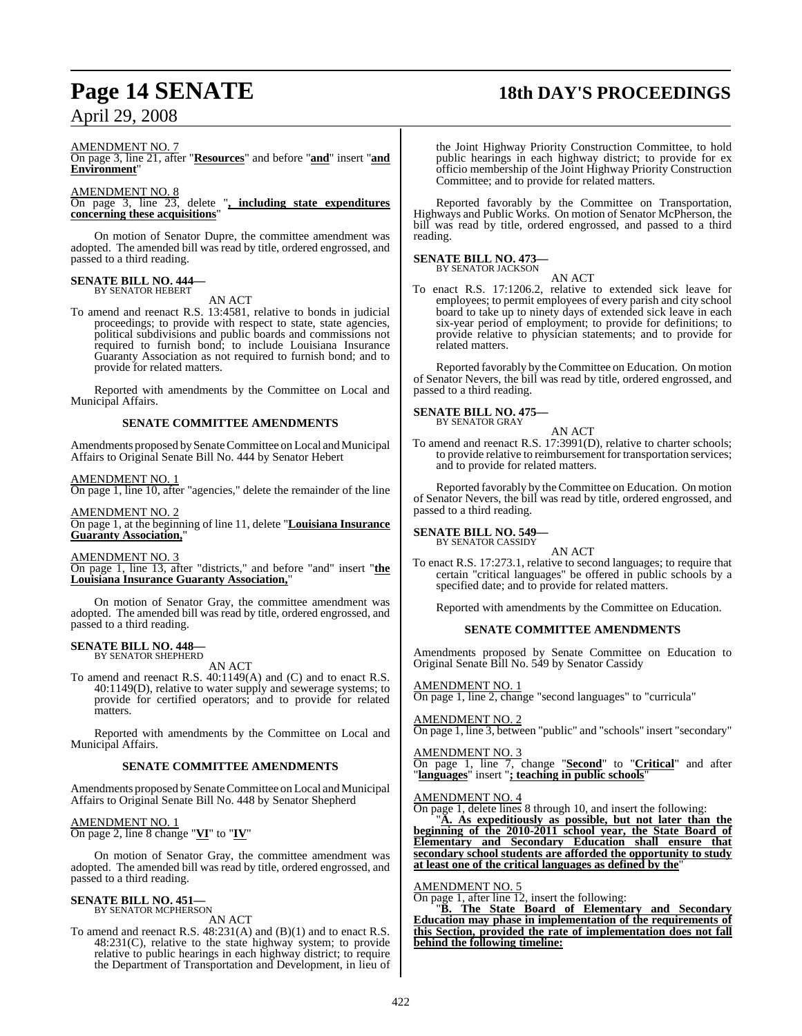## **Page 14 SENATE 18th DAY'S PROCEEDINGS**

AMENDMENT NO. 7

On page 3, line 21, after "**Resources**" and before "**and**" insert "**and Environment**"

### AMENDMENT NO. 8

On page 3, line 23, delete "**, including state expenditures concerning these acquisitions**"

On motion of Senator Dupre, the committee amendment was adopted. The amended bill was read by title, ordered engrossed, and passed to a third reading.

### **SENATE BILL NO. 444—** BY SENATOR HEBERT

AN ACT

To amend and reenact R.S. 13:4581, relative to bonds in judicial proceedings; to provide with respect to state, state agencies, political subdivisions and public boards and commissions not required to furnish bond; to include Louisiana Insurance Guaranty Association as not required to furnish bond; and to provide for related matters.

Reported with amendments by the Committee on Local and Municipal Affairs.

### **SENATE COMMITTEE AMENDMENTS**

Amendments proposed bySenate Committee on Local and Municipal Affairs to Original Senate Bill No. 444 by Senator Hebert

### AMENDMENT NO. 1

On page 1, line 10, after "agencies," delete the remainder of the line

AMENDMENT NO. 2 On page 1, at the beginning of line 11, delete "**Louisiana Insurance Guaranty Association,**"

### AMENDMENT NO. 3

On page 1, line 13, after "districts," and before "and" insert "**the Louisiana Insurance Guaranty Association,**"

On motion of Senator Gray, the committee amendment was adopted. The amended bill was read by title, ordered engrossed, and passed to a third reading.

#### **SENATE BILL NO. 448—** BY SENATOR SHEPHERD

AN ACT

To amend and reenact R.S. 40:1149(A) and (C) and to enact R.S. 40:1149(D), relative to water supply and sewerage systems; to provide for certified operators; and to provide for related matters.

Reported with amendments by the Committee on Local and Municipal Affairs.

### **SENATE COMMITTEE AMENDMENTS**

Amendments proposed by Senate Committee on Local and Municipal Affairs to Original Senate Bill No. 448 by Senator Shepherd

### AMENDMENT NO. 1

On page 2, line 8 change "**VI**" to "**IV**"

On motion of Senator Gray, the committee amendment was adopted. The amended bill was read by title, ordered engrossed, and passed to a third reading.

#### **SENATE BILL NO. 451—** BY SENATOR MCPHERSON

AN ACT

To amend and reenact R.S. 48:231(A) and (B)(1) and to enact R.S. 48:231(C), relative to the state highway system; to provide relative to public hearings in each highway district; to require the Department of Transportation and Development, in lieu of

the Joint Highway Priority Construction Committee, to hold public hearings in each highway district; to provide for ex officio membership of the Joint Highway Priority Construction Committee; and to provide for related matters.

Reported favorably by the Committee on Transportation, Highways and Public Works. On motion of Senator McPherson, the bill was read by title, ordered engrossed, and passed to a third reading.

### **SENATE BILL NO. 473—**

BY SENATOR JACKSON AN ACT

To enact R.S. 17:1206.2, relative to extended sick leave for employees; to permit employees of every parish and city school board to take up to ninety days of extended sick leave in each six-year period of employment; to provide for definitions; to provide relative to physician statements; and to provide for related matters.

Reported favorably by the Committee on Education. On motion of Senator Nevers, the bill was read by title, ordered engrossed, and passed to a third reading.

### **SENATE BILL NO. 475—** BY SENATOR GRAY

AN ACT

To amend and reenact R.S. 17:3991(D), relative to charter schools; to provide relative to reimbursement for transportation services; and to provide for related matters.

Reported favorably by the Committee on Education. On motion of Senator Nevers, the bill was read by title, ordered engrossed, and passed to a third reading.

#### **SENATE BILL NO. 549—** BY SENATOR CASSIDY

AN ACT To enact R.S. 17:273.1, relative to second languages; to require that certain "critical languages" be offered in public schools by a specified date; and to provide for related matters.

Reported with amendments by the Committee on Education.

### **SENATE COMMITTEE AMENDMENTS**

Amendments proposed by Senate Committee on Education to Original Senate Bill No. 549 by Senator Cassidy

### AMENDMENT NO. 1

On page 1, line 2, change "second languages" to "curricula"

### AMENDMENT NO. 2

On page 1, line 3, between "public" and "schools" insert "secondary"

### AMENDMENT NO. 3

On page 1, line 7, change "**Second**" to "**Critical**" and after "**languages**" insert "**; teaching in public schools**"

### AMENDMENT NO. 4

On page 1, delete lines 8 through 10, and insert the following:

"**A. As expeditiously as possible, but not later than the beginning of the 2010-2011 school year, the State Board of Elementary and Secondary Education shall ensure that secondary school students are afforded the opportunity to study at least one of the critical languages as defined by the**"

### AMENDMENT NO. 5

On page 1, after line 12, insert the following:

"**B. The State Board of Elementary and Secondary Education may phase in implementation of the requirements of this Section, provided the rate of implementation does not fall behind the following timeline:**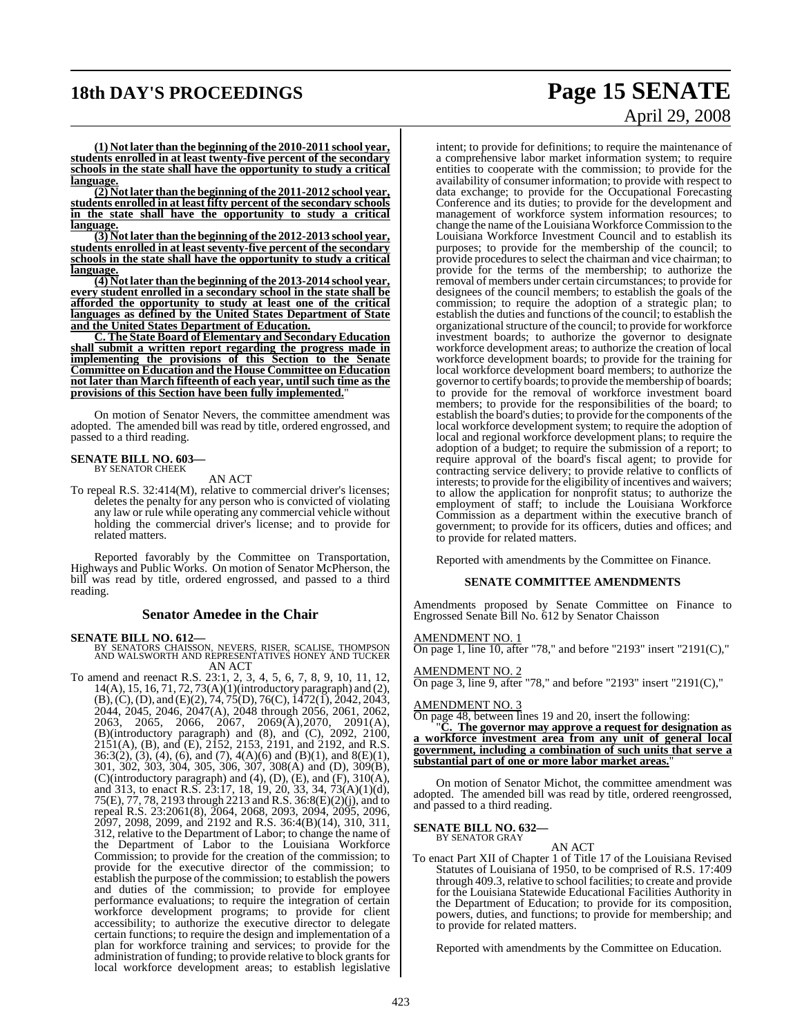## **18th DAY'S PROCEEDINGS Page 15 SENATE**

**(1) Notlater than the beginning ofthe 2010-2011 school year, students enrolled in at least twenty-five percent of the secondary schools in the state shall have the opportunity to study a critical language.**

**(2) Notlater than the beginning ofthe 2011-2012 school year, students enrolled in at least fifty percent of the secondary schools in the state shall have the opportunity to study a critical language.**

**(3) Not later than the beginning ofthe 2012-2013 school year, students enrolled in at least seventy-five percent of the secondary schools in the state shall have the opportunity to study a critical language.**

**(4) Notlater than the beginning of the 2013-2014 school year, every student enrolled in a secondary school in the state shall be afforded the opportunity to study at least one of the critical languages as defined by the United States Department of State and the United States Department of Education.**

**C. The State Board of Elementary and Secondary Education shall submit a written report regarding the progress made in implementing the provisions of this Section to the Senate Committee on Education and the House Committee on Education not later than March fifteenth of each year, until such time as the** provisions of this Section have been fully implemented.

On motion of Senator Nevers, the committee amendment was adopted. The amended bill was read by title, ordered engrossed, and passed to a third reading.

#### **SENATE BILL NO. 603—** BY SENATOR CHEEK

### AN ACT

To repeal R.S. 32:414(M), relative to commercial driver's licenses; deletes the penalty for any person who is convicted of violating any law or rule while operating any commercial vehicle without holding the commercial driver's license; and to provide for related matters.

Reported favorably by the Committee on Transportation, Highways and Public Works. On motion of Senator McPherson, the bill was read by title, ordered engrossed, and passed to a third reading.

### **Senator Amedee in the Chair**

**SENATE BILL NO. 612—** BY SENATORS CHAISSON, NEVERS, RISER, SCALISE, THOMPSON AND WALSWORTH AND REPRESENTATIVES HONEY AND TUCKER AN ACT

To amend and reenact R.S. 23:1, 2, 3, 4, 5, 6, 7, 8, 9, 10, 11, 12, 14(A), 15, 16, 71, 72, 73(A)(1)(introductory paragraph) and (2), (B),(C),(D), and (E)(2), 74, 75(D), 76(C), 1472(1), 2042, 2043, 2044, 2045, 2046, 2047(A), 2048 through 2056, 2061, 2062, 2063, 2065, 2066, 2067, 2069(A),2070, 2091(A), (B)(introductory paragraph) and (8), and (C), 2092, 2100, 2151(A), (B), and (E), 2152, 2153, 2191, and 2192, and R.S. 36:3(2), (3), (4), (6), and (7), 4(A)(6) and (B)(1), and 8(E)(1), 301, 302, 303, 304, 305, 306, 307, 308(A) and (D), 309(B), (C)(introductory paragraph) and (4), (D), (E), and (F), 310(A), and 313, to enact R.S. 23:17, 18, 19, 20, 33, 34, 73(A)(1)(d), 75(E), 77, 78, 2193 through 2213 and R.S. 36:8(E)(2)(j), and to repeal R.S. 23:2061(8), 2064, 2068, 2093, 2094, 2095, 2096, 2097, 2098, 2099, and 2192 and R.S. 36:4(B)(14), 310, 311, 312, relative to the Department of Labor; to change the name of the Department of Labor to the Louisiana Workforce Commission; to provide for the creation of the commission; to provide for the executive director of the commission; to establish the purpose of the commission; to establish the powers and duties of the commission; to provide for employee performance evaluations; to require the integration of certain workforce development programs; to provide for client accessibility; to authorize the executive director to delegate certain functions; to require the design and implementation of a plan for workforce training and services; to provide for the  $\alpha$ dministration of funding; to provide relative to block grants for local workforce development areas; to establish legislative

# April 29, 2008

intent; to provide for definitions; to require the maintenance of a comprehensive labor market information system; to require entities to cooperate with the commission; to provide for the availability of consumer information; to provide with respect to data exchange; to provide for the Occupational Forecasting Conference and its duties; to provide for the development and management of workforce system information resources; to change the name ofthe Louisiana Workforce Commission to the Louisiana Workforce Investment Council and to establish its purposes; to provide for the membership of the council; to provide procedures to select the chairman and vice chairman; to provide for the terms of the membership; to authorize the removal of members under certain circumstances; to provide for designees of the council members; to establish the goals of the commission; to require the adoption of a strategic plan; to establish the duties and functions of the council; to establish the organizational structure of the council; to provide for workforce investment boards; to authorize the governor to designate workforce development areas; to authorize the creation of local workforce development boards; to provide for the training for local workforce development board members; to authorize the governor to certify boards; to provide the membership of boards; to provide for the removal of workforce investment board members; to provide for the responsibilities of the board; to establish the board's duties; to provide for the components of the local workforce development system; to require the adoption of local and regional workforce development plans; to require the adoption of a budget; to require the submission of a report; to require approval of the board's fiscal agent; to provide for contracting service delivery; to provide relative to conflicts of interests; to provide for the eligibility of incentives and waivers; to allow the application for nonprofit status; to authorize the employment of staff; to include the Louisiana Workforce Commission as a department within the executive branch of government; to provide for its officers, duties and offices; and to provide for related matters.

Reported with amendments by the Committee on Finance.

### **SENATE COMMITTEE AMENDMENTS**

Amendments proposed by Senate Committee on Finance to Engrossed Senate Bill No. 612 by Senator Chaisson

### AMENDMENT NO. 1

On page 1, line 10, after "78," and before "2193" insert "2191(C)," AMENDMENT NO. 2

On page 3, line 9, after "78," and before "2193" insert "2191(C),"

#### AMENDMENT NO. 3

On page 48, between lines 19 and 20, insert the following:

The governor may approve a request for designation as **a workforce investment area from any unit of general local government, including a combination of such units that serve a substantial part of one or more labor market areas.**"

On motion of Senator Michot, the committee amendment was adopted. The amended bill was read by title, ordered reengrossed, and passed to a third reading.

#### **SENATE BILL NO. 632—** BY SENATOR GRAY

AN ACT

To enact Part XII of Chapter 1 of Title 17 of the Louisiana Revised Statutes of Louisiana of 1950, to be comprised of R.S. 17:409 through 409.3, relative to school facilities; to create and provide for the Louisiana Statewide Educational Facilities Authority in the Department of Education; to provide for its composition, powers, duties, and functions; to provide for membership; and to provide for related matters.

Reported with amendments by the Committee on Education.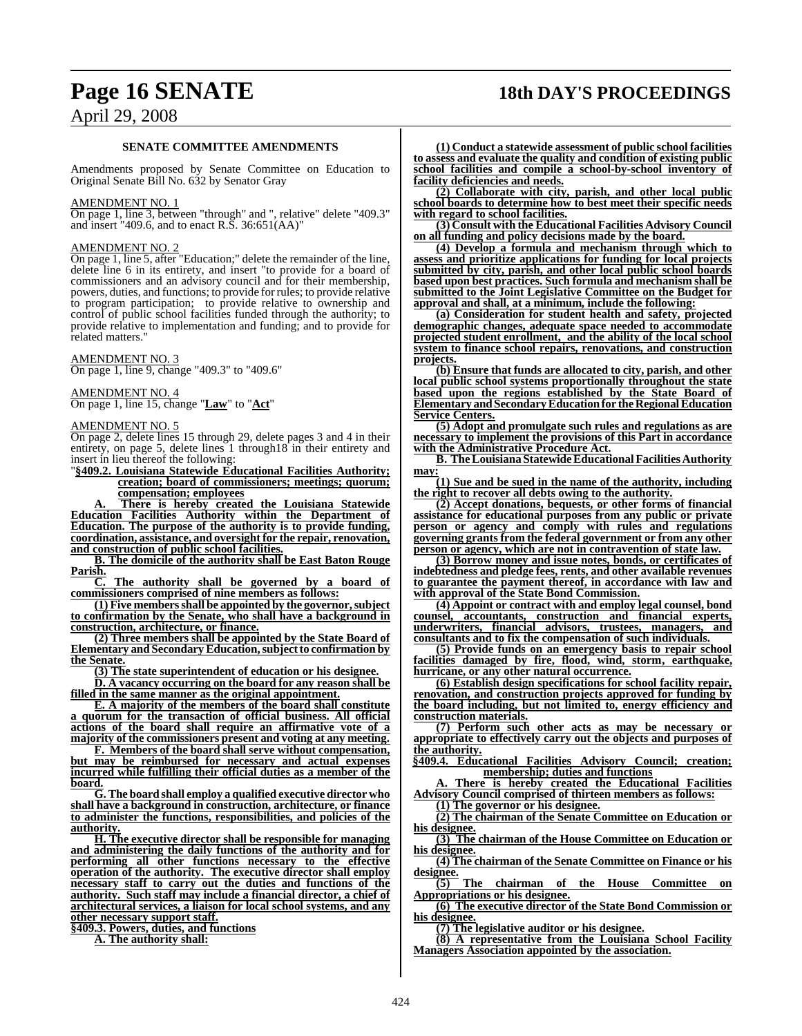### **Page 16 SENATE 18th DAY'S PROCEEDINGS**

### April 29, 2008

### **SENATE COMMITTEE AMENDMENTS**

Amendments proposed by Senate Committee on Education to Original Senate Bill No. 632 by Senator Gray

#### AMENDMENT NO. 1

On page 1, line 3, between "through" and ", relative" delete "409.3" and insert "409.6, and to enact R.S. 36:651(AA)"

### AMENDMENT NO. 2

On page 1, line 5, after "Education;" delete the remainder of the line, delete line 6 in its entirety, and insert "to provide for a board of commissioners and an advisory council and for their membership, powers, duties, and functions; to provide for rules; to provide relative to program participation; to provide relative to ownership and control of public school facilities funded through the authority; to provide relative to implementation and funding; and to provide for related matters.

AMENDMENT NO. 3 On page 1, line 9, change "409.3" to "409.6"

AMENDMENT NO. 4 On page 1, line 15, change "**Law**" to "**Act**"

AMENDMENT NO. 5

On page 2, delete lines 15 through 29, delete pages 3 and 4 in their entirety, on page 5, delete lines 1 through 18 in their entirety and insert in lieu thereof the following:

"**§409.2. Louisiana Statewide Educational Facilities Authority; creation; board of commissioners; meetings; quorum; compensation; employees**

**A. There is hereby created the Louisiana Statewide Education Facilities Authority within the Department of Education. The purpose of the authority is to provide funding, coordination, assistance, and oversight for the repair, renovation, and construction of public school facilities.**

**B. The domicile of the authority shall be East Baton Rouge Parish.**

**C. The authority shall be governed by a board of commissioners comprised of nine members as follows:**

**(1) Five membersshall be appointed by the governor,subject to confirmation by the Senate, who shall have a background in construction, architecture, or finance.**

**(2) Three members shall be appointed by the State Board of Elementary and SecondaryEducation,subjectto confirmation by the Senate.**

**(3) The state superintendent of education or his designee.**

**D. A vacancy occurring on the board for any reason shall be filled in the same manner as the original appointment.**

**E. A majority of the members of the board shall constitute a quorum for the transaction of official business. All official actions of the board shall require an affirmative vote of a majority of the commissioners present and voting at any meeting.**

**F. Members of the board shall serve without compensation, but may be reimbursed for necessary and actual expenses incurred while fulfilling their official duties as a member of the board.**

**G.The board shall employ a qualified executive director who shall have a background in construction, architecture, or finance to administer the functions, responsibilities, and policies of the authority.**

**H. The executive director shall be responsible for managing and administering the daily functions of the authority and for performing all other functions necessary to the effective operation of the authority. The executive director shall employ necessary staff to carry out the duties and functions of the authority. Such staff may include a financial director, a chief of architectural services, a liaison for local school systems, and any other necessary support staff.**

**§409.3. Powers, duties, and functions**

**A. The authority shall:**

**(1) Conduct a statewide assessment of public school facilities to assess and evaluate the quality and condition of existing public school facilities and compile a school-by-school inventory of facility deficiencies and needs.**

**(2) Collaborate with city, parish, and other local public school boards to determine how to best meet their specific needs with regard to school facilities.**

**(3) Consult with the Educational Facilities Advisory Council on all funding and policy decisions made by the board.**

**(4) Develop a formula and mechanism through which to assess and prioritize applications for funding for local projects submitted by city, parish, and other local public school boards based upon best practices. Such formula and mechanism shall be submitted to the Joint Legislative Committee on the Budget for approval and shall, at a minimum, include the following:**

**(a) Consideration for student health and safety, projected demographic changes, adequate space needed to accommodate projected student enrollment, and the ability of the local school system to finance school repairs, renovations, and construction projects.**

**(b) Ensure that funds are allocated to city, parish, and other local public school systems proportionally throughout the state based upon the regions established by the State Board of Elementary andSecondaryEducationfor theRegional Education Service Centers.**

**(5) Adopt and promulgate such rules and regulations as are necessary to implement the provisions of this Part in accordance with the Administrative Procedure Act.**

**B. The Louisiana Statewide Educational Facilities Authority may:**

**(1) Sue and be sued in the name of the authority, including the right to recover all debts owing to the authority.**

**(2) Accept donations, bequests, or other forms of financial assistance for educational purposes from any public or private person or agency and comply with rules and regulations governing grants from the federal government or from any other person or agency, which are not in contravention of state law.**

**(3) Borrow money and issue notes, bonds, or certificates of indebtedness and pledge fees, rents, and other available revenues to guarantee the payment thereof, in accordance with law and with approval of the State Bond Commission.**

**(4) Appoint or contract with and employ legal counsel, bond counsel, accountants, construction and financial experts, underwriters, financial advisors, trustees, managers, and consultants and to fix the compensation of such individuals.**

**(5) Provide funds on an emergency basis to repair school facilities damaged by fire, flood, wind, storm, earthquake, hurricane, or any other natural occurrence.**

**(6) Establish design specifications for school facility repair, renovation, and construction projects approved for funding by the board including, but not limited to, energy efficiency and construction materials.**

**(7) Perform such other acts as may be necessary or appropriate to effectively carry out the objects and purposes of the authority.**

**§409.4. Educational Facilities Advisory Council; creation; membership; duties and functions**

**A. There is hereby created the Educational Facilities Advisory Council comprised of thirteen members as follows:**

**(1) The governor or his designee.**

**(2) The chairman of the Senate Committee on Education or his designee.**

**(3) The chairman of the House Committee on Education or his designee.**

**(4) The chairman of the Senate Committee on Finance or his**  $\frac{\overline{\text{designee}}}{(5)}$ 

**(5) The chairman of the House Committee on Appropriations or his designee.**

**(6) The executive director of the State Bond Commission or his designee.**

**(7) The legislative auditor or his designee.**

**(8) A representative from the Louisiana School Facility Managers Association appointed by the association.**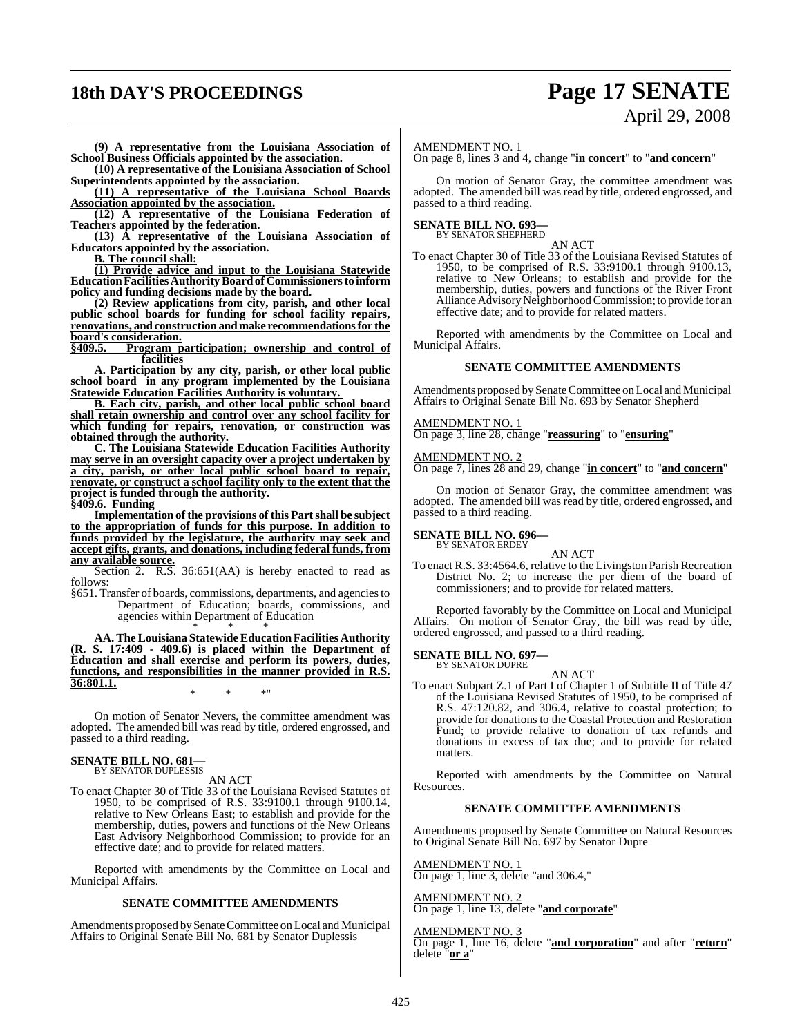### **18th DAY'S PROCEEDINGS Page 17 SENATE**

# April 29, 2008

**(9) A representative from the Louisiana Association of School Business Officials appointed by the association.**

**(10) A representative of the Louisiana Association of School Superintendents appointed by the association.**

**(11) A representative of the Louisiana School Boards Association appointed by the association.**

**(12) A representative of the Louisiana Federation of Teachers appointed by the federation.**

**(13) A representative of the Louisiana Association of Educators appointed by the association.**

**B. The council shall:**

**(1) Provide advice and input to the Louisiana Statewide EducationFacilitiesAuthorityBoardof Commissionersto inform policy and funding decisions made by the board.**

**(2) Review applications from city, parish, and other local public school boards for funding for school facility repairs, renovations, and construction andmake recommendationsfor the board's consideration.**<br>8409.5. Program n

**Program participation; ownership and control of facilities**

**A. Participation by any city, parish, or other local public school board in any program implemented by the Louisiana Statewide Education Facilities Authority is voluntary.** 

**B. Each city, parish, and other local public school board shall retain ownership and control over any school facility for which funding for repairs, renovation, or construction was obtained through the authority.**

**C. The Louisiana Statewide Education Facilities Authority may serve in an oversight capacity over a project undertaken by a city, parish, or other local public school board to repair, renovate, or construct a school facility only to the extent that the project is funded through the authority.**

**§409.6. Funding**

**Implementation of the provisions of this Partshall be subject to the appropriation of funds for this purpose. In addition to funds provided by the legislature, the authority may seek and accept gifts, grants, and donations, including federal funds, from any available source.**

Section 2. R.S. 36:651(AA) is hereby enacted to read as follows:

§651. Transfer of boards, commissions, departments, and agencies to Department of Education; boards, commissions, and agencies within Department of Education \* \* \*

**AA. The Louisiana StatewideEducationFacilities Authority (R. S. 17:409 - 409.6) is placed within the Department of Education and shall exercise and perform its powers, duties, functions, and responsibilities in the manner provided in R.S. 36:801.1.** \* \* \*"

On motion of Senator Nevers, the committee amendment was adopted. The amended bill was read by title, ordered engrossed, and passed to a third reading.

### **SENATE BILL NO. 681—** BY SENATOR DUPLESSIS

AN ACT

To enact Chapter 30 of Title 33 of the Louisiana Revised Statutes of 1950, to be comprised of R.S. 33:9100.1 through 9100.14, relative to New Orleans East; to establish and provide for the membership, duties, powers and functions of the New Orleans East Advisory Neighborhood Commission; to provide for an effective date; and to provide for related matters.

Reported with amendments by the Committee on Local and Municipal Affairs.

### **SENATE COMMITTEE AMENDMENTS**

Amendments proposed by Senate Committee on Local and Municipal Affairs to Original Senate Bill No. 681 by Senator Duplessis

### AMENDMENT NO. 1

On page 8, lines 3 and 4, change "**in concert**" to "**and concern**"

On motion of Senator Gray, the committee amendment was adopted. The amended bill was read by title, ordered engrossed, and passed to a third reading.

#### **SENATE BILL NO. 693—** BY SENATOR SHEPHERD

AN ACT

To enact Chapter 30 of Title 33 of the Louisiana Revised Statutes of 1950, to be comprised of R.S. 33:9100.1 through 9100.13, relative to New Orleans; to establish and provide for the membership, duties, powers and functions of the River Front Alliance Advisory Neighborhood Commission; to provide for an effective date; and to provide for related matters.

Reported with amendments by the Committee on Local and Municipal Affairs.

### **SENATE COMMITTEE AMENDMENTS**

Amendments proposed by Senate Committee on Local and Municipal Affairs to Original Senate Bill No. 693 by Senator Shepherd

#### AMENDMENT NO. 1

On page 3, line 28, change "**reassuring**" to "**ensuring**"

### AMENDMENT NO. 2

On page 7, lines 28 and 29, change "**in concert**" to "**and concern**"

On motion of Senator Gray, the committee amendment was adopted. The amended bill was read by title, ordered engrossed, and passed to a third reading.

#### **SENATE BILL NO. 696—** BY SENATOR ERDEY

AN ACT

To enact R.S. 33:4564.6, relative to the Livingston Parish Recreation District No. 2; to increase the per diem of the board of commissioners; and to provide for related matters.

Reported favorably by the Committee on Local and Municipal Affairs. On motion of Senator Gray, the bill was read by title, ordered engrossed, and passed to a third reading.

**SENATE BILL NO. 697—** BY SENATOR DUPRE

AN ACT

To enact Subpart Z.1 of Part I of Chapter 1 of Subtitle II of Title 47 of the Louisiana Revised Statutes of 1950, to be comprised of R.S. 47:120.82, and 306.4, relative to coastal protection; to provide for donations to the Coastal Protection and Restoration Fund; to provide relative to donation of tax refunds and donations in excess of tax due; and to provide for related matters.

Reported with amendments by the Committee on Natural Resources.

### **SENATE COMMITTEE AMENDMENTS**

Amendments proposed by Senate Committee on Natural Resources to Original Senate Bill No. 697 by Senator Dupre

### AMENDMENT NO. 1

On page 1, line 3, delete "and 306.4,"

AMENDMENT NO. 2 On page 1, line 13, delete "**and corporate**"

### AMENDMENT NO. 3

On page 1, line 16, delete "**and corporation**" and after "**return**" delete "**or a**"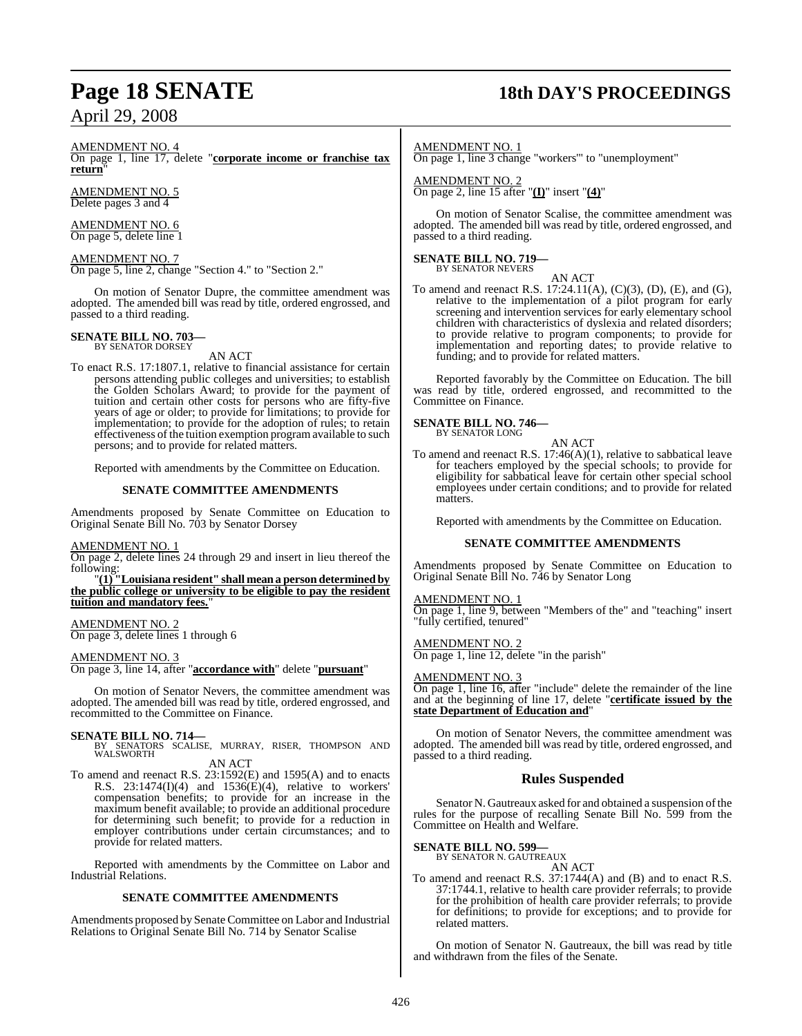## **Page 18 SENATE 18th DAY'S PROCEEDINGS**

AMENDMENT NO. 4

On page 1, line 17, delete "**corporate income or franchise tax return**"

AMENDMENT NO. 5 Delete pages 3 and 4

AMENDMENT NO. 6 On page 5, delete line 1

AMENDMENT NO. 7 On page 5, line 2, change "Section 4." to "Section 2."

On motion of Senator Dupre, the committee amendment was adopted. The amended bill was read by title, ordered engrossed, and passed to a third reading.

### **SENATE BILL NO. 703—** BY SENATOR DORSEY

AN ACT

To enact R.S. 17:1807.1, relative to financial assistance for certain persons attending public colleges and universities; to establish the Golden Scholars Award; to provide for the payment of tuition and certain other costs for persons who are fifty-five years of age or older; to provide for limitations; to provide for implementation; to provide for the adoption of rules; to retain effectiveness of the tuition exemption programavailable to such persons; and to provide for related matters.

Reported with amendments by the Committee on Education.

### **SENATE COMMITTEE AMENDMENTS**

Amendments proposed by Senate Committee on Education to Original Senate Bill No. 703 by Senator Dorsey

### AMENDMENT NO. 1

On page 2, delete lines 24 through 29 and insert in lieu thereof the following:

"**(1) "Louisiana resident" shall mean a person determined by the public college or university to be eligible to pay the resident tuition and mandatory fees.**"

### AMENDMENT NO. 2

On page 3, delete lines 1 through 6

### AMENDMENT NO. 3

On page 3, line 14, after "**accordance with**" delete "**pursuant**"

On motion of Senator Nevers, the committee amendment was adopted. The amended bill was read by title, ordered engrossed, and recommitted to the Committee on Finance.

**SENATE BILL NO. 714—**<br>BY SENATORS SCALISE, MURRAY, RISER, THOMPSON AND WALSWORTH AN ACT

To amend and reenact R.S. 23:1592(E) and 1595(A) and to enacts R.S.  $23:1474(I)(4)$  and  $1536(E)(4)$ , relative to workers' compensation benefits; to provide for an increase in the maximum benefit available; to provide an additional procedure for determining such benefit; to provide for a reduction in employer contributions under certain circumstances; and to provide for related matters.

Reported with amendments by the Committee on Labor and Industrial Relations.

### **SENATE COMMITTEE AMENDMENTS**

Amendments proposed by Senate Committee on Labor and Industrial Relations to Original Senate Bill No. 714 by Senator Scalise

AMENDMENT NO. 1

On page 1, line 3 change "workers'" to "unemployment"

AMENDMENT NO. 2 On page 2, line 15 after "**(I)**" insert "**(4)**"

On motion of Senator Scalise, the committee amendment was adopted. The amended bill was read by title, ordered engrossed, and passed to a third reading.

### **SENATE BILL NO. 719—**

BY SENATOR NEVERS AN ACT

To amend and reenact R.S. 17:24.11(A), (C)(3), (D), (E), and (G), relative to the implementation of a pilot program for early screening and intervention services for early elementary school children with characteristics of dyslexia and related disorders; to provide relative to program components; to provide for implementation and reporting dates; to provide relative to funding; and to provide for related matters.

Reported favorably by the Committee on Education. The bill was read by title, ordered engrossed, and recommitted to the Committee on Finance.

#### **SENATE BILL NO. 746—** BY SENATOR LONG

- AN ACT
- To amend and reenact R.S. 17:46(A)(1), relative to sabbatical leave for teachers employed by the special schools; to provide for eligibility for sabbatical leave for certain other special school employees under certain conditions; and to provide for related matters.

Reported with amendments by the Committee on Education.

### **SENATE COMMITTEE AMENDMENTS**

Amendments proposed by Senate Committee on Education to Original Senate Bill No. 746 by Senator Long

### AMENDMENT NO. 1

On page 1, line 9, between "Members of the" and "teaching" insert "fully certified, tenured"

AMENDMENT NO. 2

On page 1, line 12, delete "in the parish"

### AMENDMENT NO. 3

On page 1, line 16, after "include" delete the remainder of the line and at the beginning of line 17, delete "**certificate issued by the state Department of Education and**"

On motion of Senator Nevers, the committee amendment was adopted. The amended bill was read by title, ordered engrossed, and passed to a third reading.

### **Rules Suspended**

Senator N. Gautreaux asked for and obtained a suspension of the rules for the purpose of recalling Senate Bill No. 599 from the Committee on Health and Welfare.

### **SENATE BILL NO. 599—** BY SENATOR N. GAUTREAUX

AN ACT To amend and reenact R.S. 37:1744(A) and (B) and to enact R.S. 37:1744.1, relative to health care provider referrals; to provide for the prohibition of health care provider referrals; to provide for definitions; to provide for exceptions; and to provide for related matters.

On motion of Senator N. Gautreaux, the bill was read by title and withdrawn from the files of the Senate.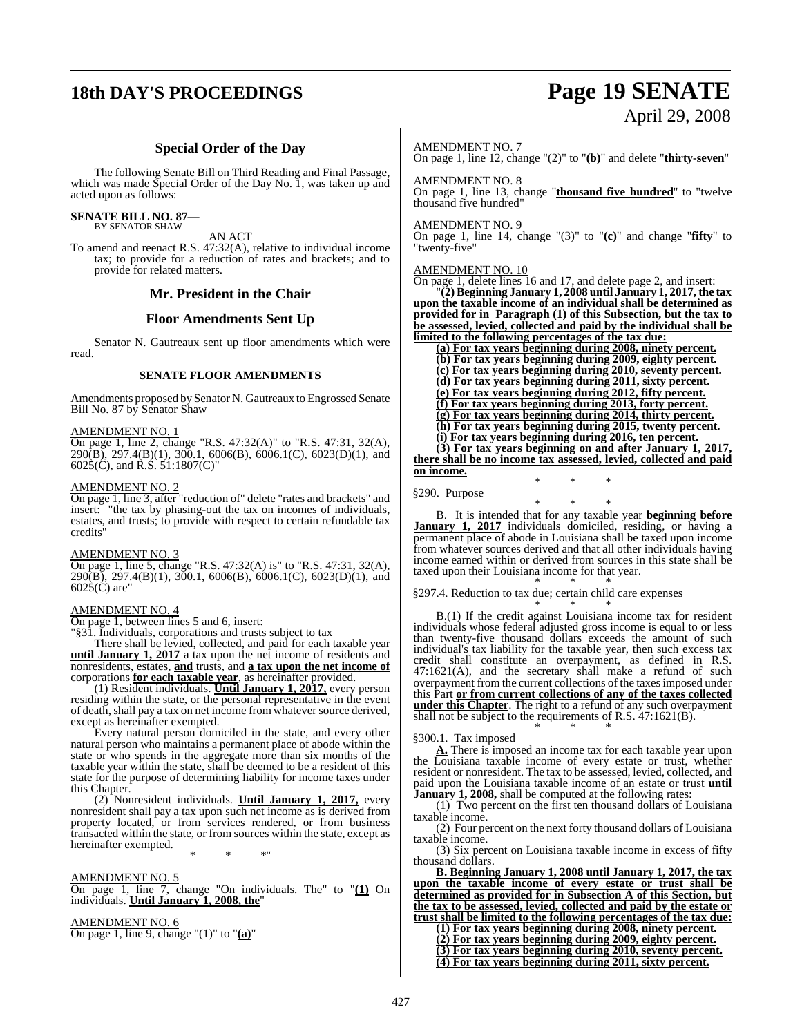# **18th DAY'S PROCEEDINGS Page 19 SENATE** April 29, 2008

### **Special Order of the Day**

The following Senate Bill on Third Reading and Final Passage, which was made Special Order of the Day No. 1, was taken up and acted upon as follows:

**SENATE BILL NO. 87—** BY SENATOR SHAW

AN ACT

To amend and reenact R.S. 47:32(A), relative to individual income tax; to provide for a reduction of rates and brackets; and to provide for related matters.

### **Mr. President in the Chair**

### **Floor Amendments Sent Up**

Senator N. Gautreaux sent up floor amendments which were read.

### **SENATE FLOOR AMENDMENTS**

Amendments proposed by Senator N. Gautreaux to Engrossed Senate Bill No. 87 by Senator Shaw

### AMENDMENT NO. 1

On page 1, line 2, change "R.S. 47:32(A)" to "R.S. 47:31, 32(A), 290(B), 297.4(B)(1), 300.1, 6006(B), 6006.1(C), 6023(D)(1), and  $602\overline{5}(\overline{C})$ , and R.S.  $\overline{5}1:1807(\overline{C})$ "

### AMENDMENT NO. 2

On page 1, line 3, after "reduction of" delete "rates and brackets" and insert: "the tax by phasing-out the tax on incomes of individuals, estates, and trusts; to provide with respect to certain refundable tax credits"

### AMENDMENT NO. 3

On page 1, line 5, change "R.S. 47:32(A) is" to "R.S. 47:31, 32(A), 290(B), 297.4(B)(1), 300.1, 6006(B), 6006.1(C), 6023(D)(1), and 6025(C) are"

### AMENDMENT NO. 4

On page 1, between lines 5 and 6, insert:

"§31. Individuals, corporations and trusts subject to tax

There shall be levied, collected, and paid for each taxable year **until January 1, 2017** a tax upon the net income of residents and nonresidents, estates, **and** trusts, and **a tax upon the net income of** corporations **for each taxable year**, as hereinafter provided.

(1) Resident individuals. **Until January 1, 2017,** every person residing within the state, or the personal representative in the event of death, shall pay a tax on net income from whatever source derived, except as hereinafter exempted.

Every natural person domiciled in the state, and every other natural person who maintains a permanent place of abode within the state or who spends in the aggregate more than six months of the taxable year within the state, shall be deemed to be a resident of this state for the purpose of determining liability for income taxes under this Chapter.

(2) Nonresident individuals. **Until January 1, 2017,** every nonresident shall pay a tax upon such net income as is derived from property located, or from services rendered, or from business transacted within the state, or from sources within the state, except as hereinafter exempted.

\* \* \*"

### AMENDMENT NO. 5

On page 1, line 7, change "On individuals. The" to "**(1)** On individuals. **Until January 1, 2008, the**"

### AMENDMENT NO. 6

On page 1, line 9, change "(1)" to "**(a)**"

### AMENDMENT NO. 7

On page 1, line 12, change "(2)" to "**(b)**" and delete "**thirty-seven**"

AMENDMENT NO. 8

On page 1, line 13, change "**thousand five hundred**" to "twelve thousand five hundred"

### AMENDMENT NO. 9

On page 1, line 14, change "(3)" to "**(c)**" and change "**fifty**" to "twenty-five"

### AMENDMENT NO. 10

On page 1, delete lines 16 and 17, and delete page 2, and insert: "**(2)Beginning January 1, 2008 until January 1, 2017, the tax upon the taxable income of an individual shall be determined as provided for in Paragraph (1) of this Subsection, but the tax to be assessed, levied, collected and paid by the individual shall be limited to the following percentages of the tax due:**

**(a) For tax years beginning during 2008, ninety percent. (b) For tax years beginning during 2009, eighty percent. (c) For tax years beginning during 2010, seventy percent. (d) For tax years beginning during 2011, sixty percent. (e) For tax years beginning during 2012, fifty percent. (f) For tax years beginning during 2013, forty percent. (g) For tax years beginning during 2014, thirty percent. (h) For tax years beginning during 2015, twenty percent. (i) For tax years beginning during 2016, ten percent. (3) For tax years beginning on and after January 1, 2017, there shall be no income tax assessed, levied, collected and paid on income.**

§290. Purpose

\* \* \* B. It is intended that for any taxable year **beginning before January 1, 2017** individuals domiciled, residing, or having a permanent place of abode in Louisiana shall be taxed upon income from whatever sources derived and that all other individuals having income earned within or derived from sources in this state shall be taxed upon their Louisiana income for that year.

\* \* \*

#### \* \* \* §297.4. Reduction to tax due; certain child care expenses

\* \* \* B.(1) If the credit against Louisiana income tax for resident individuals whose federal adjusted gross income is equal to or less than twenty-five thousand dollars exceeds the amount of such individual's tax liability for the taxable year, then such excess tax credit shall constitute an overpayment, as defined in R.S. 47:1621(A), and the secretary shall make a refund of such overpayment from the current collections of the taxesimposed under this Part **or from current collections of any of the taxes collected under this Chapter**. The right to a refund of any such overpayment shall not be subject to the requirements of R.S. 47:1621(B). \* \* \*

§300.1. Tax imposed

**A.** There is imposed an income tax for each taxable year upon the Louisiana taxable income of every estate or trust, whether resident or nonresident. The tax to be assessed, levied, collected, and paid upon the Louisiana taxable income of an estate or trust **until January 1, 2008,** shall be computed at the following rates:

(1) Two percent on the first ten thousand dollars of Louisiana taxable income.

(2) Four percent on the next forty thousand dollars of Louisiana taxable income.

(3) Six percent on Louisiana taxable income in excess of fifty thousand dollars.

**B. Beginning January 1, 2008 until January 1, 2017, the tax upon the taxable income of every estate or trust shall be determined as provided for in Subsection A of this Section, but the tax to be assessed, levied, collected and paid by the estate or trust shall be limited to the following percentages of the tax due:**

**(1) For tax years beginning during 2008, ninety percent. (2) For tax years beginning during 2009, eighty percent. (3) For tax years beginning during 2010, seventy percent. (4) For tax years beginning during 2011, sixty percent.**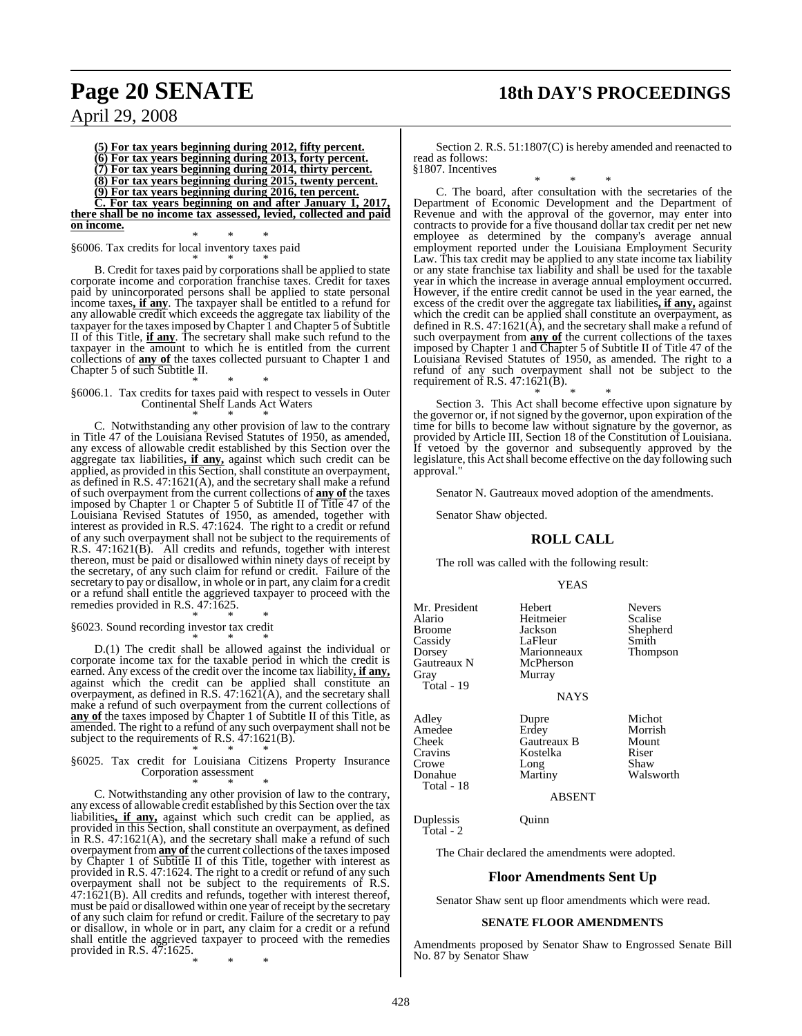### **Page 20 SENATE 18th DAY'S PROCEEDINGS**

April 29, 2008

**(5) For tax years beginning during 2012, fifty percent. (6) For tax years beginning during 2013, forty percent. (7) For tax years beginning during 2014, thirty percent. (8) For tax years beginning during 2015, twenty percent. (9) For tax years beginning during 2016, ten percent. C. For tax years beginning on and after January 1, 2017, there shall be no income tax assessed, levied, collected and paid on income.**

\* \* \* §6006. Tax credits for local inventory taxes paid \* \* \*

B. Credit for taxes paid by corporations shall be applied to state corporate income and corporation franchise taxes. Credit for taxes paid by unincorporated persons shall be applied to state personal income taxes**, if any**. The taxpayer shall be entitled to a refund for any allowable credit which exceeds the aggregate tax liability of the taxpayer for the taxesimposed byChapter 1 and Chapter 5 of Subtitle II of this Title, **if any**. The secretary shall make such refund to the taxpayer in the amount to which he is entitled from the current collections of **any of** the taxes collected pursuant to Chapter 1 and Chapter 5 of such Subtitle II.

#### \* \* \* §6006.1. Tax credits for taxes paid with respect to vessels in Outer Continental Shelf Lands Act Waters \* \* \*

C. Notwithstanding any other provision of law to the contrary in Title 47 of the Louisiana Revised Statutes of 1950, as amended, any excess of allowable credit established by this Section over the aggregate tax liabilities**, if any,** against which such credit can be applied, as provided in this Section, shall constitute an overpayment, as defined in R.S. 47:1621(A), and the secretary shall make a refund of such overpayment from the current collections of **any of** the taxes imposed by Chapter 1 or Chapter 5 of Subtitle II of Title 47 of the Louisiana Revised Statutes of 1950, as amended, together with interest as provided in R.S. 47:1624. The right to a credit or refund of any such overpayment shall not be subject to the requirements of R.S. 47:1621(B). All credits and refunds, together with interest thereon, must be paid or disallowed within ninety days of receipt by the secretary, of any such claim for refund or credit. Failure of the secretary to pay or disallow, in whole or in part, any claim for a credit or a refund shall entitle the aggrieved taxpayer to proceed with the remedies provided in R.S. 47:1625. \* \* \*

§6023. Sound recording investor tax credit

\* \* \* D.(1) The credit shall be allowed against the individual or corporate income tax for the taxable period in which the credit is earned. Any excess of the credit over the income tax liability**, if any,** against which the credit can be applied shall constitute an overpayment, as defined in R.S.  $47:1621(A)$ , and the secretary shall make a refund of such overpayment from the current collections of **any of** the taxes imposed by Chapter 1 of Subtitle II of this Title, as amended. The right to a refund of any such overpayment shall not be subject to the requirements of R.S. 47:1621(B). \* \* \*

#### §6025. Tax credit for Louisiana Citizens Property Insurance Corporation assessment \* \* \*

C. Notwithstanding any other provision of law to the contrary, any excess of allowable credit established by this Section over the tax liabilities**, if any,** against which such credit can be applied, as provided in this Section, shall constitute an overpayment, as defined in R.S. 47:1621(A), and the secretary shall make a refund of such overpayment from **any of** the current collections of the taxes imposed by Chapter 1 of Subtitle II of this Title, together with interest as provided in R.S. 47:1624. The right to a credit or refund of any such overpayment shall not be subject to the requirements of R.S. 47:1621(B). All credits and refunds, together with interest thereof, must be paid or disallowed within one year of receipt by the secretary of any such claim for refund or credit. Failure of the secretary to pay or disallow, in whole or in part, any claim for a credit or a refund shall entitle the aggrieved taxpayer to proceed with the remedies provided in R.S. 47:1625.

\* \* \*

Section 2. R.S. 51:1807(C) is hereby amended and reenacted to read as follows: §1807. Incentives

\* \* \* C. The board, after consultation with the secretaries of the Department of Economic Development and the Department of Revenue and with the approval of the governor, may enter into contracts to provide for a five thousand dollar tax credit per net new employee as determined by the company's average annual employment reported under the Louisiana Employment Security Law. This tax credit may be applied to any state income tax liability or any state franchise tax liability and shall be used for the taxable year in which the increase in average annual employment occurred. However, if the entire credit cannot be used in the year earned, the excess of the credit over the aggregate tax liabilities**, if any,** against which the credit can be applied shall constitute an overpayment, as defined in R.S.  $47:1621(\text{\AA})$ , and the secretary shall make a refund of such overpayment from **any of** the current collections of the taxes imposed by Chapter 1 and Chapter 5 of Subtitle II of Title 47 of the Louisiana Revised Statutes of 1950, as amended. The right to a refund of any such overpayment shall not be subject to the requirement of R.S.  $47:1621(B)$ .

\* \* \* Section 3. This Act shall become effective upon signature by the governor or, if not signed by the governor, upon expiration of the time for bills to become law without signature by the governor, as provided by Article III, Section 18 of the Constitution of Louisiana. If vetoed by the governor and subsequently approved by the legislature, this Act shall become effective on the day following such approval."

Senator N. Gautreaux moved adoption of the amendments.

Senator Shaw objected.

### **ROLL CALL**

The roll was called with the following result:

#### YEAS

Mr. President Hebert Nevers<br>
Alario Heitmeier Scalise Alario Heitmeier<br>Broome Jackson Broome Jackson Shepherd<br>Cassidy LaFleur Smith Cassidy LaFleur Smith<br>
Dorsey Marionneaux Thompson Marionneaux<br>McPherson Gautreaux N Gray Murray Total - 19 Adley Dupre Michot Amedee Erdey Morrish<br>Cheek Gautreaux B Mount Cheek Gautreaux B Mour<br>Cravins Kostelka Riser

**NAYS** 

Kostelka Crowe Long Shaw<br>
Donahue Martiny Walsworth

ABSENT

Duplessis Quinn Total - 2

Donahue Total - 18

The Chair declared the amendments were adopted.

### **Floor Amendments Sent Up**

Senator Shaw sent up floor amendments which were read.

### **SENATE FLOOR AMENDMENTS**

Amendments proposed by Senator Shaw to Engrossed Senate Bill No. 87 by Senator Shaw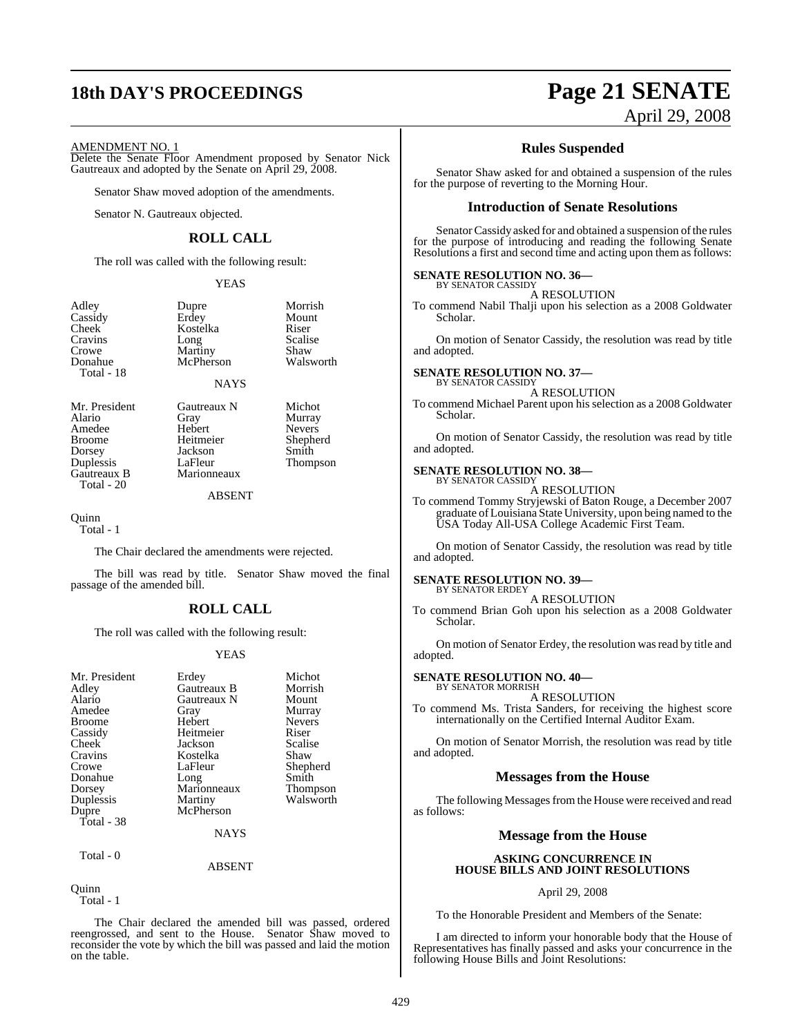### **18th DAY'S PROCEEDINGS Page 21 SENATE**

### AMENDMENT NO. 1

Delete the Senate Floor Amendment proposed by Senator Nick Gautreaux and adopted by the Senate on April 29, 2008.

Senator Shaw moved adoption of the amendments.

Senator N. Gautreaux objected.

### **ROLL CALL**

The roll was called with the following result:

Kostelka

YEAS

Dupre Morrish<br>Erdev Mount Erdey Moun<br>Kostelka Riser

Long Scalise<br>
Martiny Shaw Martiny Shaw<br>
McPherson Walsworth

| Adley      |
|------------|
| Cassidy    |
| Cheek      |
| Cravins    |
| Crowe      |
| Donahue    |
| Total - 18 |
|            |

**NAYS** 

McPherson

Amedee Hebert<br>Broome Heitmeier Dorsey Jackson<br>
Duplessis LaFleur Total - 20

Mr. President Gautreaux N Michot<br>Alario Gray Murray Alario Gray Murray Broome Heitmeier Shepherd<br>Dorsey Jackson Smith Duplessis LaFleur Thompson<br>Gautreaux B Marionneaux Marionneaux

ABSENT

Quinn Total - 1

The Chair declared the amendments were rejected.

The bill was read by title. Senator Shaw moved the final passage of the amended bill.

### **ROLL CALL**

The roll was called with the following result:

### YEAS

| Mr. President<br>Adley<br>Alario<br>Amedee<br><b>Broome</b><br>Cassidy<br>Cheek<br>Cravins<br>Crowe<br>Donahue<br>Dorsey<br>Duplessis<br>Dupre | Erdey<br>Gautreaux B<br>Gautreaux N<br>Gray<br>Hebert<br>Heitmeier<br>Jackson<br>Kostelka<br>LaFleur<br>Long<br>Marionneaux<br>Martiny<br>McPherson | Michot<br>Morrish<br>Mount<br>Murray<br><b>Nevers</b><br>Riser<br>Scalise<br>Shaw<br>Shepherd<br>Smith<br><b>Thompson</b><br>Walsworth |
|------------------------------------------------------------------------------------------------------------------------------------------------|-----------------------------------------------------------------------------------------------------------------------------------------------------|----------------------------------------------------------------------------------------------------------------------------------------|
| Total - 38                                                                                                                                     | <b>NAYS</b>                                                                                                                                         |                                                                                                                                        |
| Total - 0                                                                                                                                      |                                                                                                                                                     |                                                                                                                                        |

ABSENT

**Ouinn** 

Total - 1

The Chair declared the amended bill was passed, ordered reengrossed, and sent to the House. Senator Shaw moved to reconsider the vote by which the bill was passed and laid the motion on the table.

# April 29, 2008

### **Rules Suspended**

Senator Shaw asked for and obtained a suspension of the rules for the purpose of reverting to the Morning Hour.

### **Introduction of Senate Resolutions**

Senator Cassidy asked for and obtained a suspension of the rules for the purpose of introducing and reading the following Senate Resolutions a first and second time and acting upon them as follows:

### **SENATE RESOLUTION NO. 36—**

BY SENATOR CASSIDY A RESOLUTION

To commend Nabil Thalji upon his selection as a 2008 Goldwater Scholar.

On motion of Senator Cassidy, the resolution was read by title and adopted.

#### **SENATE RESOLUTION NO. 37—** BY SENATOR CASSIDY

A RESOLUTION

To commend Michael Parent upon his selection as a 2008 Goldwater Scholar.

On motion of Senator Cassidy, the resolution was read by title and adopted.

### **SENATE RESOLUTION NO. 38—** BY SENATOR CASSIDY

A RESOLUTION

To commend Tommy Stryjewski of Baton Rouge, a December 2007 graduate ofLouisiana State University, upon being named to the USA Today All-USA College Academic First Team.

On motion of Senator Cassidy, the resolution was read by title and adopted.

#### **SENATE RESOLUTION NO. 39—** BY SENATOR ERDEY

A RESOLUTION

To commend Brian Goh upon his selection as a 2008 Goldwater Scholar.

On motion of Senator Erdey, the resolution wasread by title and adopted.

#### **SENATE RESOLUTION NO. 40—** BY SENATOR MORRISH

A RESOLUTION

To commend Ms. Trista Sanders, for receiving the highest score internationally on the Certified Internal Auditor Exam.

On motion of Senator Morrish, the resolution was read by title and adopted.

### **Messages from the House**

The following Messages from the House were received and read as follows:

### **Message from the House**

### **ASKING CONCURRENCE IN HOUSE BILLS AND JOINT RESOLUTIONS**

### April 29, 2008

To the Honorable President and Members of the Senate:

I am directed to inform your honorable body that the House of Representatives has finally passed and asks your concurrence in the following House Bills and Joint Resolutions: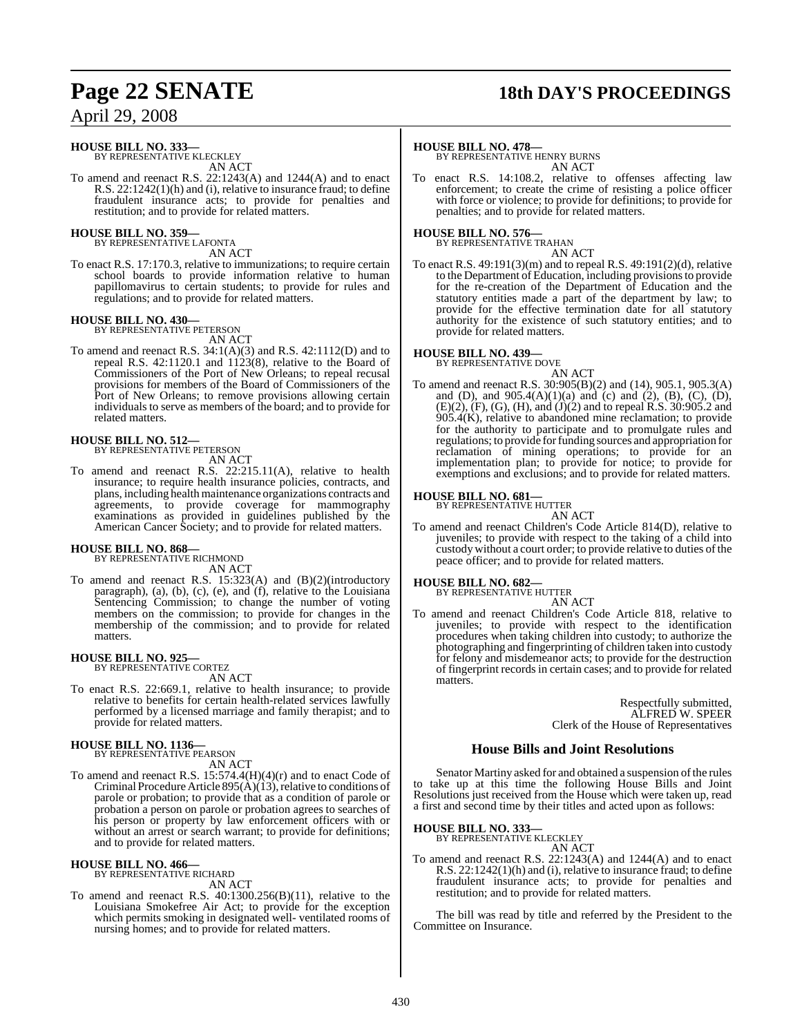### **HOUSE BILL NO. 333—**

BY REPRESENTATIVE KLECKLEY AN ACT

To amend and reenact R.S. 22:1243(A) and 1244(A) and to enact R.S. 22:1242(1)(h) and (i), relative to insurance fraud; to define fraudulent insurance acts; to provide for penalties and restitution; and to provide for related matters.

### **HOUSE BILL NO. 359—**

BY REPRESENTATIVE LAFONTA AN ACT

To enact R.S. 17:170.3, relative to immunizations; to require certain school boards to provide information relative to human papillomavirus to certain students; to provide for rules and regulations; and to provide for related matters.

### **HOUSE BILL NO. 430—**

BY REPRESENTATIVE PETERSON AN ACT

To amend and reenact R.S. 34:1(A)(3) and R.S. 42:1112(D) and to repeal R.S. 42:1120.1 and 1123(8), relative to the Board of Commissioners of the Port of New Orleans; to repeal recusal provisions for members of the Board of Commissioners of the Port of New Orleans; to remove provisions allowing certain individuals to serve as members of the board; and to provide for related matters.

### **HOUSE BILL NO. 512—**

BY REPRESENTATIVE PETERSON AN ACT

To amend and reenact R.S. 22:215.11(A), relative to health insurance; to require health insurance policies, contracts, and plans, including health maintenance organizations contracts and agreements, to provide coverage for mammography examinations as provided in guidelines published by the American Cancer Society; and to provide for related matters.

### **HOUSE BILL NO. 868—**

BY REPRESENTATIVE RICHMOND AN ACT

To amend and reenact R.S. 15:323(A) and (B)(2)(introductory paragraph), (a), (b), (c), (e), and (f), relative to the Louisiana Sentencing Commission; to change the number of voting members on the commission; to provide for changes in the membership of the commission; and to provide for related matters.

### **HOUSE BILL NO. 925—** BY REPRESENTATIVE CORTEZ

AN ACT

To enact R.S. 22:669.1, relative to health insurance; to provide relative to benefits for certain health-related services lawfully performed by a licensed marriage and family therapist; and to provide for related matters.

### **HOUSE BILL NO. 1136—**

BY REPRESENTATIVE PEARSON AN ACT

To amend and reenact R.S. 15:574.4(H)(4)(r) and to enact Code of Criminal Procedure Article 895( $\hat{A}$ )(13), relative to conditions of parole or probation; to provide that as a condition of parole or probation a person on parole or probation agrees to searches of his person or property by law enforcement officers with or without an arrest or search warrant; to provide for definitions; and to provide for related matters.

### **HOUSE BILL NO. 466—** BY REPRESENTATIVE RICHARD

AN ACT To amend and reenact R.S. 40:1300.256(B)(11), relative to the Louisiana Smokefree Air Act; to provide for the exception which permits smoking in designated well- ventilated rooms of nursing homes; and to provide for related matters.

### **Page 22 SENATE 18th DAY'S PROCEEDINGS**

### **HOUSE BILL NO. 478—**

BY REPRESENTATIVE HENRY BURNS AN ACT

To enact R.S. 14:108.2, relative to offenses affecting law enforcement; to create the crime of resisting a police officer with force or violence; to provide for definitions; to provide for penalties; and to provide for related matters.

### **HOUSE BILL NO. 576—** BY REPRESENTATIVE TRAHAN

AN ACT

To enact R.S. 49:191(3)(m) and to repeal R.S. 49:191(2)(d), relative to the Department of Education, including provisionsto provide for the re-creation of the Department of Education and the statutory entities made a part of the department by law; to provide for the effective termination date for all statutory authority for the existence of such statutory entities; and to provide for related matters.

### **HOUSE BILL NO. 439—** BY REPRESENTATIVE DOVE

AN ACT To amend and reenact R.S. 30:905(B)(2) and (14), 905.1, 905.3(A) and (D), and  $905.4(A)(1)(a)$  and (c) and (2), (B), (C), (D), (E)(2), (F), (G), (H), and (J)(2) and to repeal R.S. 30:905.2 and  $905.4(K)$ , relative to abandoned mine reclamation; to provide for the authority to participate and to promulgate rules and regulations; to provide forfunding sources and appropriation for reclamation of mining operations; to provide for an implementation plan; to provide for notice; to provide for exemptions and exclusions; and to provide for related matters.

### **HOUSE BILL NO. 681—**

BY REPRESENTATIVE HUTTER AN ACT

To amend and reenact Children's Code Article 814(D), relative to juveniles; to provide with respect to the taking of a child into custody without a court order; to provide relative to duties of the peace officer; and to provide for related matters.

### **HOUSE BILL NO. 682—**

BY REPRESENTATIVE HUTTER

AN ACT To amend and reenact Children's Code Article 818, relative to juveniles; to provide with respect to the identification procedures when taking children into custody; to authorize the photographing and fingerprinting of children taken into custody for felony and misdemeanor acts; to provide for the destruction of fingerprint records in certain cases; and to provide for related matters.

> Respectfully submitted, ALFRED W. SPEER Clerk of the House of Representatives

### **House Bills and Joint Resolutions**

Senator Martiny asked for and obtained a suspension of the rules to take up at this time the following House Bills and Joint Resolutions just received from the House which were taken up, read a first and second time by their titles and acted upon as follows:

**HOUSE BILL NO. 333—**

BY REPRESENTATIVE KLECKLEY AN ACT

To amend and reenact R.S. 22:1243(A) and 1244(A) and to enact R.S. 22:1242(1)(h) and (i), relative to insurance fraud; to define fraudulent insurance acts; to provide for penalties and restitution; and to provide for related matters.

The bill was read by title and referred by the President to the Committee on Insurance.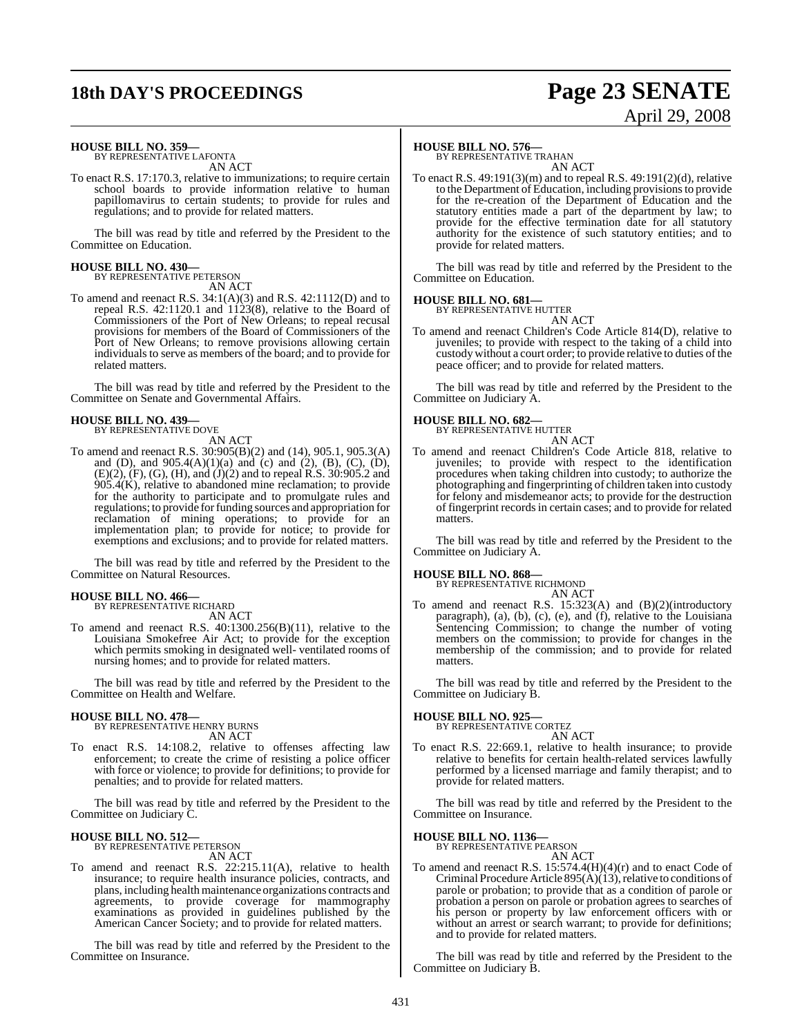# **18th DAY'S PROCEEDINGS Page 23 SENATE**

# April 29, 2008

### **HOUSE BILL NO. 359—**

BY REPRESENTATIVE LAFONTA AN ACT

To enact R.S. 17:170.3, relative to immunizations; to require certain school boards to provide information relative to human papillomavirus to certain students; to provide for rules and regulations; and to provide for related matters.

The bill was read by title and referred by the President to the Committee on Education.

### **HOUSE BILL NO. 430—**

BY REPRESENTATIVE PETERSON AN ACT

To amend and reenact R.S. 34:1(A)(3) and R.S. 42:1112(D) and to repeal R.S. 42:1120.1 and 1123(8), relative to the Board of Commissioners of the Port of New Orleans; to repeal recusal provisions for members of the Board of Commissioners of the Port of New Orleans; to remove provisions allowing certain individuals to serve as members of the board; and to provide for related matters.

The bill was read by title and referred by the President to the Committee on Senate and Governmental Affairs.

#### **HOUSE BILL NO. 439—** BY REPRESENTATIVE DOVE

AN ACT

To amend and reenact R.S. 30:905(B)(2) and (14), 905.1, 905.3(A) and (D), and  $905.4(A)(1)(a)$  and (c) and (2), (B), (C), (D), (E)(2), (F), (G), (H), and (J)(2) and to repeal R.S. 30:905.2 and 905.4(K), relative to abandoned mine reclamation; to provide for the authority to participate and to promulgate rules and regulations; to provide forfunding sources and appropriation for reclamation of mining operations; to provide for an implementation plan; to provide for notice; to provide for exemptions and exclusions; and to provide for related matters.

The bill was read by title and referred by the President to the Committee on Natural Resources.

### **HOUSE BILL NO. 466—**

BY REPRESENTATIVE RICHARD AN ACT

To amend and reenact R.S. 40:1300.256(B)(11), relative to the Louisiana Smokefree Air Act; to provide for the exception which permits smoking in designated well- ventilated rooms of nursing homes; and to provide for related matters.

The bill was read by title and referred by the President to the Committee on Health and Welfare.

### **HOUSE BILL NO. 478—**

BY REPRESENTATIVE HENRY BURNS AN ACT

To enact R.S. 14:108.2, relative to offenses affecting law enforcement; to create the crime of resisting a police officer with force or violence; to provide for definitions; to provide for penalties; and to provide for related matters.

The bill was read by title and referred by the President to the Committee on Judiciary C.

### **HOUSE BILL NO. 512—** BY REPRESENTATIVE PETERSON

AN ACT

To amend and reenact R.S. 22:215.11(A), relative to health insurance; to require health insurance policies, contracts, and plans, including health maintenance organizations contracts and agreements, to provide coverage for mammography examinations as provided in guidelines published by the American Cancer Society; and to provide for related matters.

The bill was read by title and referred by the President to the Committee on Insurance.

### **HOUSE BILL NO. 576—**

BY REPRESENTATIVE TRAHAN AN ACT

To enact R.S. 49:191(3)(m) and to repeal R.S. 49:191(2)(d), relative to the Department of Education, including provisionsto provide for the re-creation of the Department of Education and the statutory entities made a part of the department by law; to provide for the effective termination date for all statutory authority for the existence of such statutory entities; and to provide for related matters.

The bill was read by title and referred by the President to the Committee on Education.

### **HOUSE BILL NO. 681—**

BY REPRESENTATIVE HUTTER AN ACT

To amend and reenact Children's Code Article 814(D), relative to juveniles; to provide with respect to the taking of a child into custody without a court order; to provide relative to duties of the peace officer; and to provide for related matters.

The bill was read by title and referred by the President to the Committee on Judiciary A.

### **HOUSE BILL NO. 682—**



To amend and reenact Children's Code Article 818, relative to juveniles; to provide with respect to the identification procedures when taking children into custody; to authorize the photographing and fingerprinting of children taken into custody for felony and misdemeanor acts; to provide for the destruction of fingerprint recordsin certain cases; and to provide for related matters.

The bill was read by title and referred by the President to the Committee on Judiciary A.

### **HOUSE BILL NO. 868—** BY REPRESENTATIVE RICHMOND

AN ACT

To amend and reenact R.S. 15:323(A) and (B)(2)(introductory paragraph), (a), (b), (c), (e), and (f), relative to the Louisiana Sentencing Commission; to change the number of voting members on the commission; to provide for changes in the membership of the commission; and to provide for related matters.

The bill was read by title and referred by the President to the Committee on Judiciary B.

### **HOUSE BILL NO. 925—**

BY REPRESENTATIVE CORTEZ AN ACT

To enact R.S. 22:669.1, relative to health insurance; to provide relative to benefits for certain health-related services lawfully performed by a licensed marriage and family therapist; and to provide for related matters.

The bill was read by title and referred by the President to the Committee on Insurance.

### **HOUSE BILL NO. 1136—** BY REPRESENTATIVE PEARSON

AN ACT

To amend and reenact R.S. 15:574.4(H)(4)(r) and to enact Code of Criminal Procedure Article  $895(A)(13)$ , relative to conditions of parole or probation; to provide that as a condition of parole or probation a person on parole or probation agrees to searches of his person or property by law enforcement officers with or without an arrest or search warrant; to provide for definitions; and to provide for related matters.

The bill was read by title and referred by the President to the Committee on Judiciary B.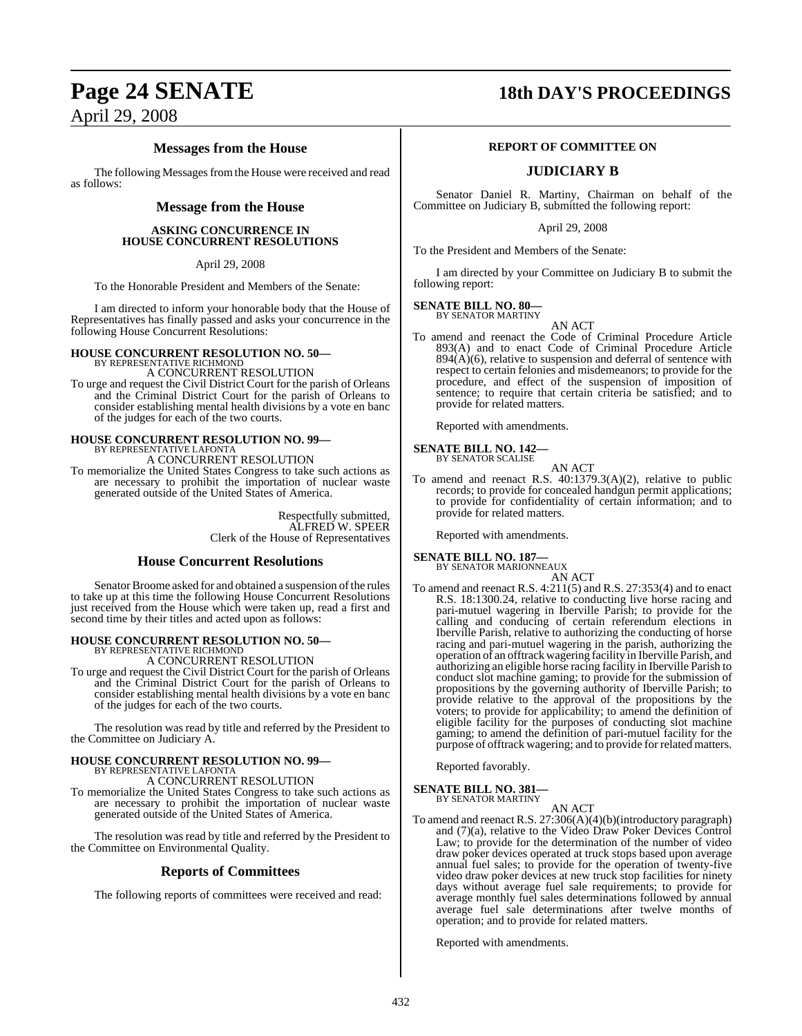### **Page 24 SENATE 18th DAY'S PROCEEDINGS**

### April 29, 2008

### **Messages from the House**

The following Messages from the House were received and read as follows:

### **Message from the House**

### **ASKING CONCURRENCE IN HOUSE CONCURRENT RESOLUTIONS**

April 29, 2008

To the Honorable President and Members of the Senate:

I am directed to inform your honorable body that the House of Representatives has finally passed and asks your concurrence in the following House Concurrent Resolutions:

### **HOUSE CONCURRENT RESOLUTION NO. 50—** BY REPRESENTATIVE RICHMOND

A CONCURRENT RESOLUTION

To urge and request the Civil District Court for the parish of Orleans and the Criminal District Court for the parish of Orleans to consider establishing mental health divisions by a vote en banc of the judges for each of the two courts.

# **HOUSE CONCURRENT RESOLUTION NO. 99—** BY REPRESENTATIVE LAFONTA

A CONCURRENT RESOLUTION

To memorialize the United States Congress to take such actions as are necessary to prohibit the importation of nuclear waste generated outside of the United States of America.

> Respectfully submitted, ALFRED W. SPEER Clerk of the House of Representatives

### **House Concurrent Resolutions**

Senator Broome asked for and obtained a suspension of the rules to take up at this time the following House Concurrent Resolutions just received from the House which were taken up, read a first and second time by their titles and acted upon as follows:

# **HOUSE CONCURRENT RESOLUTION NO. 50—** BY REPRESENTATIVE RICHMOND A CONCURRENT RESOLUTION

To urge and request the Civil District Court for the parish of Orleans and the Criminal District Court for the parish of Orleans to consider establishing mental health divisions by a vote en banc of the judges for each of the two courts.

The resolution was read by title and referred by the President to the Committee on Judiciary A.

### **HOUSE CONCURRENT RESOLUTION NO. 99—** BY REPRESENTATIVE LAFONTA A CONCURRENT RESOLUTION

To memorialize the United States Congress to take such actions as are necessary to prohibit the importation of nuclear waste generated outside of the United States of America.

The resolution was read by title and referred by the President to the Committee on Environmental Quality.

### **Reports of Committees**

The following reports of committees were received and read:

### **REPORT OF COMMITTEE ON**

### **JUDICIARY B**

Senator Daniel R. Martiny, Chairman on behalf of the Committee on Judiciary B, submitted the following report:

April 29, 2008

To the President and Members of the Senate:

I am directed by your Committee on Judiciary B to submit the following report:

#### **SENATE BILL NO. 80—** BY SENATOR MARTINY

AN ACT

To amend and reenact the Code of Criminal Procedure Article 893(A) and to enact Code of Criminal Procedure Article  $894(A)(6)$ , relative to suspension and deferral of sentence with respect to certain felonies and misdemeanors; to provide for the procedure, and effect of the suspension of imposition of sentence; to require that certain criteria be satisfied; and to provide for related matters.

Reported with amendments.

#### **SENATE BILL NO. 142—** BY SENATOR SCALISE

- AN ACT To amend and reenact R.S. 40:1379.3(A)(2), relative to public
- records; to provide for concealed handgun permit applications; to provide for confidentiality of certain information; and to provide for related matters.

Reported with amendments.

### **SENATE BILL NO. 187—** BY SENATOR MARIONNEAUX

AN ACT

To amend and reenact R.S. 4:211(5) and R.S. 27:353(4) and to enact R.S. 18:1300.24, relative to conducting live horse racing and pari-mutuel wagering in Iberville Parish; to provide for the calling and conducing of certain referendum elections in Iberville Parish, relative to authorizing the conducting of horse racing and pari-mutuel wagering in the parish, authorizing the operation of an offtrack wagering facility in Iberville Parish, and authorizing an eligible horse racing facility in Iberville Parish to conduct slot machine gaming; to provide for the submission of propositions by the governing authority of Iberville Parish; to provide relative to the approval of the propositions by the voters; to provide for applicability; to amend the definition of eligible facility for the purposes of conducting slot machine gaming; to amend the definition of pari-mutuel facility for the purpose of offtrack wagering; and to provide for related matters.

Reported favorably.

## **SENATE BILL NO. 381—** BY SENATOR MARTINY

AN ACT To amend and reenact R.S. 27:306(A)(4)(b)(introductory paragraph) and (7)(a), relative to the Video Draw Poker Devices Control Law; to provide for the determination of the number of video draw poker devices operated at truck stops based upon average annual fuel sales; to provide for the operation of twenty-five video draw poker devices at new truck stop facilities for ninety days without average fuel sale requirements; to provide for average monthly fuel sales determinations followed by annual average fuel sale determinations after twelve months of operation; and to provide for related matters.

Reported with amendments.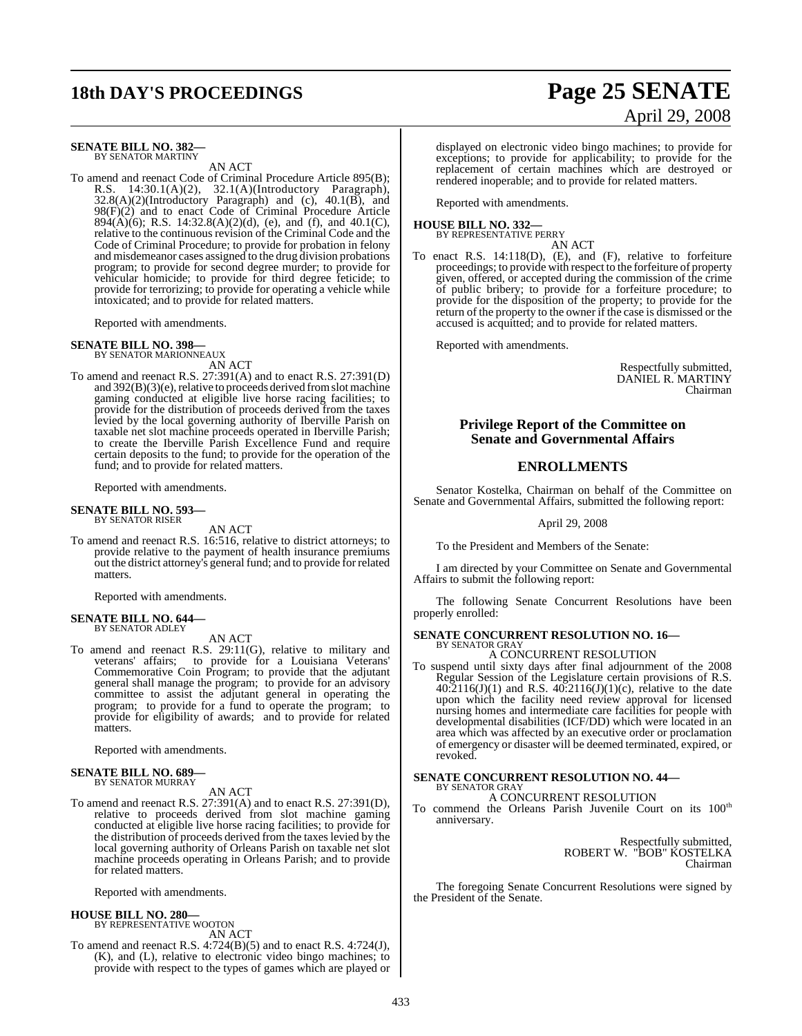# **18th DAY'S PROCEEDINGS Page 25 SENATE**

# April 29, 2008

#### **SENATE BILL NO. 382—** BY SENATOR MARTINY

AN ACT

To amend and reenact Code of Criminal Procedure Article 895(B); R.S. 14:30.1(A)(2), 32.1(A)(Introductory Paragraph),  $32.8(A)(2)$ (Introductory Paragraph) and (c),  $40.1(B)$ , and 98(F)(2) and to enact Code of Criminal Procedure Article 894(A)(6); R.S. 14:32.8(A)(2)(d), (e), and (f), and 40.1(C), relative to the continuous revision of the Criminal Code and the Code of Criminal Procedure; to provide for probation in felony and misdemeanor cases assigned to the drug division probations program; to provide for second degree murder; to provide for vehicular homicide; to provide for third degree feticide; to provide for terrorizing; to provide for operating a vehicle while intoxicated; and to provide for related matters.

Reported with amendments.

**SENATE BILL NO. 398—**

BY SENATOR MARIONNEAUX

AN ACT To amend and reenact R.S. 27:391(A) and to enact R.S. 27:391(D) and  $392(B)(3)(e)$ , relative to proceeds derived from slot machine gaming conducted at eligible live horse racing facilities; to provide for the distribution of proceeds derived from the taxes levied by the local governing authority of Iberville Parish on taxable net slot machine proceeds operated in Iberville Parish; to create the Iberville Parish Excellence Fund and require certain deposits to the fund; to provide for the operation of the fund; and to provide for related matters.

Reported with amendments.

#### **SENATE BILL NO. 593—** BY SENATOR RISER

AN ACT

To amend and reenact R.S. 16:516, relative to district attorneys; to provide relative to the payment of health insurance premiums out the district attorney's general fund; and to provide for related matters.

Reported with amendments.

#### **SENATE BILL NO. 644—** BY SENATOR ADLEY

AN ACT

To amend and reenact R.S. 29:11(G), relative to military and veterans' affairs; to provide for a Louisiana Veterans' Commemorative Coin Program; to provide that the adjutant general shall manage the program; to provide for an advisory committee to assist the adjutant general in operating the program; to provide for a fund to operate the program; to provide for eligibility of awards; and to provide for related matters.

Reported with amendments.

#### **SENATE BILL NO. 689—** BY SENATOR MURRAY

AN ACT

To amend and reenact R.S. 27:391(A) and to enact R.S. 27:391(D), relative to proceeds derived from slot machine gaming conducted at eligible live horse racing facilities; to provide for the distribution of proceeds derived from the taxes levied by the local governing authority of Orleans Parish on taxable net slot machine proceeds operating in Orleans Parish; and to provide for related matters.

Reported with amendments.

#### **HOUSE BILL NO. 280—** BY REPRESENTATIVE WOOTON

AN ACT

To amend and reenact R.S. 4:724(B)(5) and to enact R.S. 4:724(J), (K), and (L), relative to electronic video bingo machines; to provide with respect to the types of games which are played or displayed on electronic video bingo machines; to provide for exceptions; to provide for applicability; to provide for the replacement of certain machines which are destroyed or rendered inoperable; and to provide for related matters.

Reported with amendments.

#### **HOUSE BILL NO. 332—** BY REPRESENTATIVE PERRY

AN ACT

To enact R.S. 14:118(D), (E), and (F), relative to forfeiture proceedings; to provide with respect to the forfeiture of property given, offered, or accepted during the commission of the crime of public bribery; to provide for a forfeiture procedure; to provide for the disposition of the property; to provide for the return of the property to the owner if the case is dismissed or the accused is acquitted; and to provide for related matters.

Reported with amendments.

Respectfully submitted, DANIEL R. MARTINY Chairman

### **Privilege Report of the Committee on Senate and Governmental Affairs**

### **ENROLLMENTS**

Senator Kostelka, Chairman on behalf of the Committee on Senate and Governmental Affairs, submitted the following report:

April 29, 2008

To the President and Members of the Senate:

I am directed by your Committee on Senate and Governmental Affairs to submit the following report:

The following Senate Concurrent Resolutions have been properly enrolled:

#### **SENATE CONCURRENT RESOLUTION NO. 16—** BY SENATOR GRAY

A CONCURRENT RESOLUTION

To suspend until sixty days after final adjournment of the 2008 Regular Session of the Legislature certain provisions of R.S.  $40:2116(J)(1)$  and R.S.  $40:2116(J)(1)(c)$ , relative to the date upon which the facility need review approval for licensed nursing homes and intermediate care facilities for people with developmental disabilities (ICF/DD) which were located in an area which was affected by an executive order or proclamation of emergency or disaster will be deemed terminated, expired, or revoked.

#### **SENATE CONCURRENT RESOLUTION NO. 44—** BY SENATOR GRAY

A CONCURRENT RESOLUTION

To commend the Orleans Parish Juvenile Court on its 100<sup>th</sup> anniversary.

> Respectfully submitted, ROBERT W. "BOB" KOSTELKA Chairman

The foregoing Senate Concurrent Resolutions were signed by the President of the Senate.